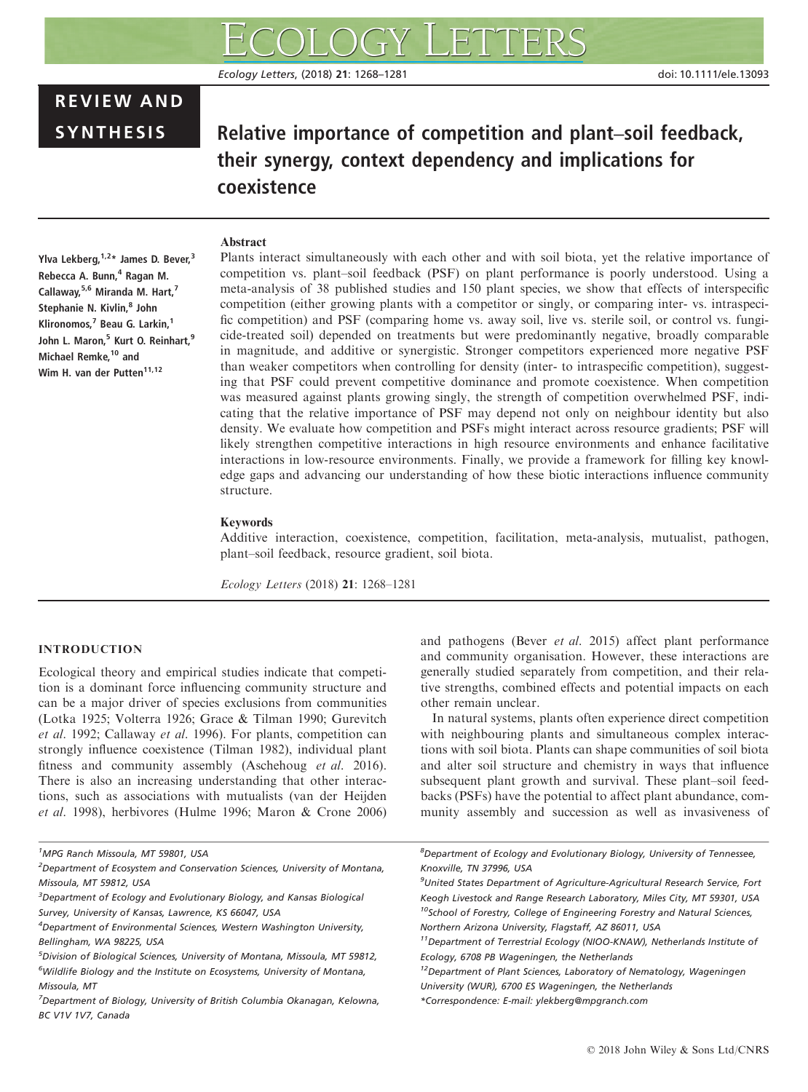# REVIEW AND

# SYNTHESIS Relative importance of competition and plant–soil feedback, their synergy, context dependency and implications for coexistence

# Abstract

Ylva Lekberg,  $1,2*$  James D. Bever, 3 Rebecca A. Bunn,<sup>4</sup> Ragan M. Callaway, 5,6 Miranda M. Hart, 7 Stephanie N. Kivlin,<sup>8</sup> John Klironomos, $^7$  Beau G. Larkin.<sup>1</sup> John L. Maron,<sup>5</sup> Kurt O. Reinhart,<sup>9</sup> Michael Remke,<sup>10</sup> and Wim H. van der Putten<sup>11,12</sup>

Plants interact simultaneously with each other and with soil biota, yet the relative importance of competition vs. plant–soil feedback (PSF) on plant performance is poorly understood. Using a meta-analysis of 38 published studies and 150 plant species, we show that effects of interspecific competition (either growing plants with a competitor or singly, or comparing inter- vs. intraspecific competition) and PSF (comparing home vs. away soil, live vs. sterile soil, or control vs. fungicide-treated soil) depended on treatments but were predominantly negative, broadly comparable in magnitude, and additive or synergistic. Stronger competitors experienced more negative PSF than weaker competitors when controlling for density (inter- to intraspecific competition), suggesting that PSF could prevent competitive dominance and promote coexistence. When competition was measured against plants growing singly, the strength of competition overwhelmed PSF, indicating that the relative importance of PSF may depend not only on neighbour identity but also density. We evaluate how competition and PSFs might interact across resource gradients; PSF will likely strengthen competitive interactions in high resource environments and enhance facilitative interactions in low-resource environments. Finally, we provide a framework for filling key knowledge gaps and advancing our understanding of how these biotic interactions influence community structure.

#### Keywords

Additive interaction, coexistence, competition, facilitation, meta-analysis, mutualist, pathogen, plant–soil feedback, resource gradient, soil biota.

Ecology Letters (2018) 21: 1268–1281

# INTRODUCTION

Ecological theory and empirical studies indicate that competition is a dominant force influencing community structure and can be a major driver of species exclusions from communities (Lotka 1925; Volterra 1926; Grace & Tilman 1990; Gurevitch et al. 1992; Callaway et al. 1996). For plants, competition can strongly influence coexistence (Tilman 1982), individual plant fitness and community assembly (Aschehoug et al. 2016). There is also an increasing understanding that other interactions, such as associations with mutualists (van der Heijden et al. 1998), herbivores (Hulme 1996; Maron & Crone 2006) and pathogens (Bever et al. 2015) affect plant performance and community organisation. However, these interactions are generally studied separately from competition, and their relative strengths, combined effects and potential impacts on each other remain unclear.

In natural systems, plants often experience direct competition with neighbouring plants and simultaneous complex interactions with soil biota. Plants can shape communities of soil biota and alter soil structure and chemistry in ways that influence subsequent plant growth and survival. These plant–soil feedbacks (PSFs) have the potential to affect plant abundance, community assembly and succession as well as invasiveness of

<sup>1</sup> MPG Ranch Missoula, MT 59801, USA

<sup>&</sup>lt;sup>2</sup>Department of Ecosystem and Conservation Sciences, University of Montana, Missoula, MT 59812, USA

 ${}^{3}$ Department of Ecology and Evolutionary Biology, and Kansas Biological Survey, University of Kansas, Lawrence, KS 66047, USA

<sup>&</sup>lt;sup>4</sup>Department of Environmental Sciences, Western Washington University, Bellingham, WA 98225, USA

<sup>5</sup> Division of Biological Sciences, University of Montana, Missoula, MT 59812, <sup>6</sup>Wildlife Biology and the Institute on Ecosystems, University of Montana, Missoula, MT

 $^7$ Department of Biology, University of British Columbia Okanagan, Kelowna, BC V1V 1V7, Canada

<sup>8</sup> Department of Ecology and Evolutionary Biology, University of Tennessee, Knoxville, TN 37996, USA

<sup>&</sup>lt;sup>9</sup>United States Department of Agriculture-Agricultural Research Service, Fort Keogh Livestock and Range Research Laboratory, Miles City, MT 59301, USA <sup>10</sup>School of Forestry, College of Engineering Forestry and Natural Sciences, Northern Arizona University, Flagstaff, AZ 86011, USA

<sup>&</sup>lt;sup>11</sup> Department of Terrestrial Ecology (NIOO-KNAW), Netherlands Institute of Ecology, 6708 PB Wageningen, the Netherlands

<sup>&</sup>lt;sup>12</sup>Department of Plant Sciences, Laboratory of Nematology, Wageningen University (WUR), 6700 ES Wageningen, the Netherlands

<sup>\*</sup>Correspondence: E-mail: ylekberg@mpgranch.com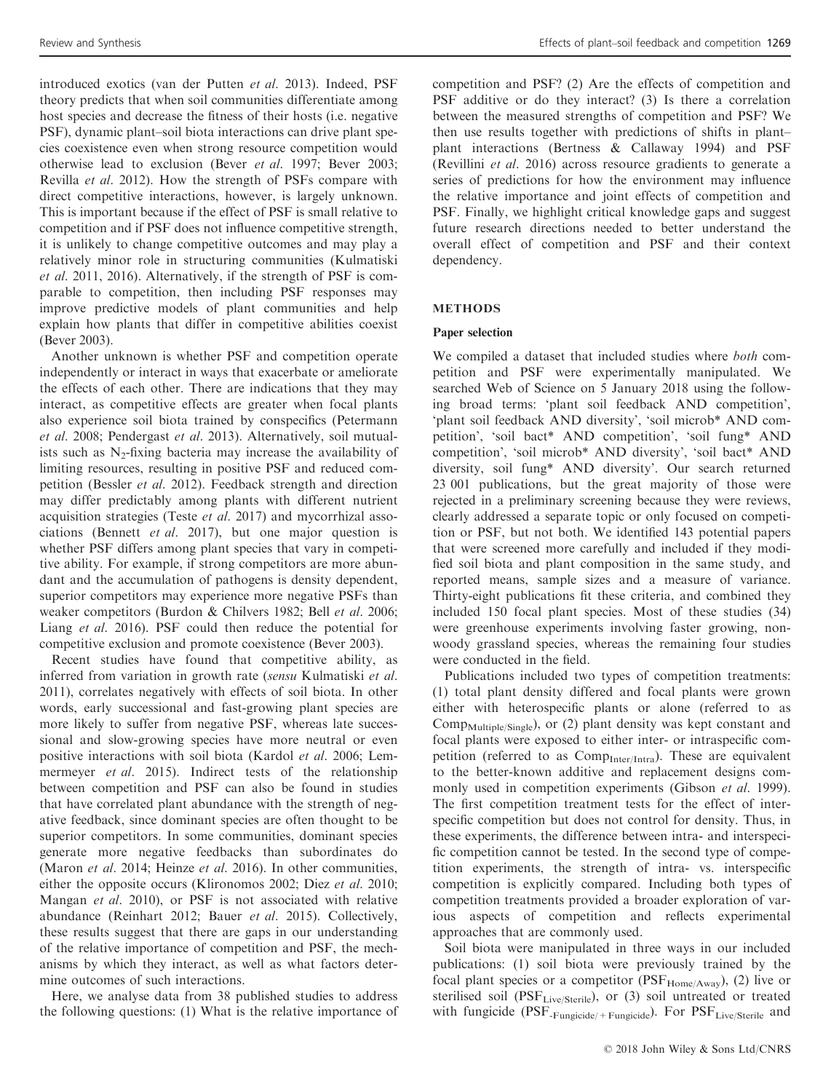introduced exotics (van der Putten et al. 2013). Indeed, PSF theory predicts that when soil communities differentiate among host species and decrease the fitness of their hosts (i.e. negative PSF), dynamic plant–soil biota interactions can drive plant species coexistence even when strong resource competition would otherwise lead to exclusion (Bever et al. 1997; Bever 2003; Revilla et al. 2012). How the strength of PSFs compare with direct competitive interactions, however, is largely unknown. This is important because if the effect of PSF is small relative to competition and if PSF does not influence competitive strength, it is unlikely to change competitive outcomes and may play a relatively minor role in structuring communities (Kulmatiski et al. 2011, 2016). Alternatively, if the strength of PSF is comparable to competition, then including PSF responses may improve predictive models of plant communities and help explain how plants that differ in competitive abilities coexist (Bever 2003).

Another unknown is whether PSF and competition operate independently or interact in ways that exacerbate or ameliorate the effects of each other. There are indications that they may interact, as competitive effects are greater when focal plants also experience soil biota trained by conspecifics (Petermann et al. 2008; Pendergast et al. 2013). Alternatively, soil mutualists such as  $N_2$ -fixing bacteria may increase the availability of limiting resources, resulting in positive PSF and reduced competition (Bessler et al. 2012). Feedback strength and direction may differ predictably among plants with different nutrient acquisition strategies (Teste et al. 2017) and mycorrhizal associations (Bennett et al. 2017), but one major question is whether PSF differs among plant species that vary in competitive ability. For example, if strong competitors are more abundant and the accumulation of pathogens is density dependent, superior competitors may experience more negative PSFs than weaker competitors (Burdon & Chilvers 1982; Bell et al. 2006; Liang et al. 2016). PSF could then reduce the potential for competitive exclusion and promote coexistence (Bever 2003).

Recent studies have found that competitive ability, as inferred from variation in growth rate (sensu Kulmatiski et al. 2011), correlates negatively with effects of soil biota. In other words, early successional and fast-growing plant species are more likely to suffer from negative PSF, whereas late successional and slow-growing species have more neutral or even positive interactions with soil biota (Kardol et al. 2006; Lemmermeyer et al. 2015). Indirect tests of the relationship between competition and PSF can also be found in studies that have correlated plant abundance with the strength of negative feedback, since dominant species are often thought to be superior competitors. In some communities, dominant species generate more negative feedbacks than subordinates do (Maron et al. 2014; Heinze et al. 2016). In other communities, either the opposite occurs (Klironomos 2002; Diez et al. 2010; Mangan et al. 2010), or PSF is not associated with relative abundance (Reinhart 2012; Bauer et al. 2015). Collectively, these results suggest that there are gaps in our understanding of the relative importance of competition and PSF, the mechanisms by which they interact, as well as what factors determine outcomes of such interactions.

Here, we analyse data from 38 published studies to address the following questions: (1) What is the relative importance of competition and PSF? (2) Are the effects of competition and PSF additive or do they interact? (3) Is there a correlation between the measured strengths of competition and PSF? We then use results together with predictions of shifts in plant– plant interactions (Bertness & Callaway 1994) and PSF (Revillini et al. 2016) across resource gradients to generate a series of predictions for how the environment may influence the relative importance and joint effects of competition and PSF. Finally, we highlight critical knowledge gaps and suggest future research directions needed to better understand the overall effect of competition and PSF and their context dependency.

# METHODS

#### Paper selection

We compiled a dataset that included studies where both competition and PSF were experimentally manipulated. We searched Web of Science on 5 January 2018 using the following broad terms: 'plant soil feedback AND competition', 'plant soil feedback AND diversity', 'soil microb\* AND competition', 'soil bact\* AND competition', 'soil fung\* AND competition', 'soil microb\* AND diversity', 'soil bact\* AND diversity, soil fung\* AND diversity'. Our search returned 23 001 publications, but the great majority of those were rejected in a preliminary screening because they were reviews, clearly addressed a separate topic or only focused on competition or PSF, but not both. We identified 143 potential papers that were screened more carefully and included if they modified soil biota and plant composition in the same study, and reported means, sample sizes and a measure of variance. Thirty-eight publications fit these criteria, and combined they included 150 focal plant species. Most of these studies (34) were greenhouse experiments involving faster growing, nonwoody grassland species, whereas the remaining four studies were conducted in the field.

Publications included two types of competition treatments: (1) total plant density differed and focal plants were grown either with heterospecific plants or alone (referred to as  $Comp_{Multiple/Single}$ , or (2) plant density was kept constant and focal plants were exposed to either inter- or intraspecific competition (referred to as  $Comp<sub>Inter/Intra</sub>$ ). These are equivalent to the better-known additive and replacement designs commonly used in competition experiments (Gibson et al. 1999). The first competition treatment tests for the effect of interspecific competition but does not control for density. Thus, in these experiments, the difference between intra- and interspecific competition cannot be tested. In the second type of competition experiments, the strength of intra- vs. interspecific competition is explicitly compared. Including both types of competition treatments provided a broader exploration of various aspects of competition and reflects experimental approaches that are commonly used.

Soil biota were manipulated in three ways in our included publications: (1) soil biota were previously trained by the focal plant species or a competitor ( $PSF_{Home/Away}$ ), (2) live or sterilised soil ( $PSF<sub>Live/Stevile</sub>$ ), or (3) soil untreated or treated with fungicide (PSF<sub>-Fungicide/+Fungicide</sub>). For  $PSF<sub>Live/Sterile</sub>$  and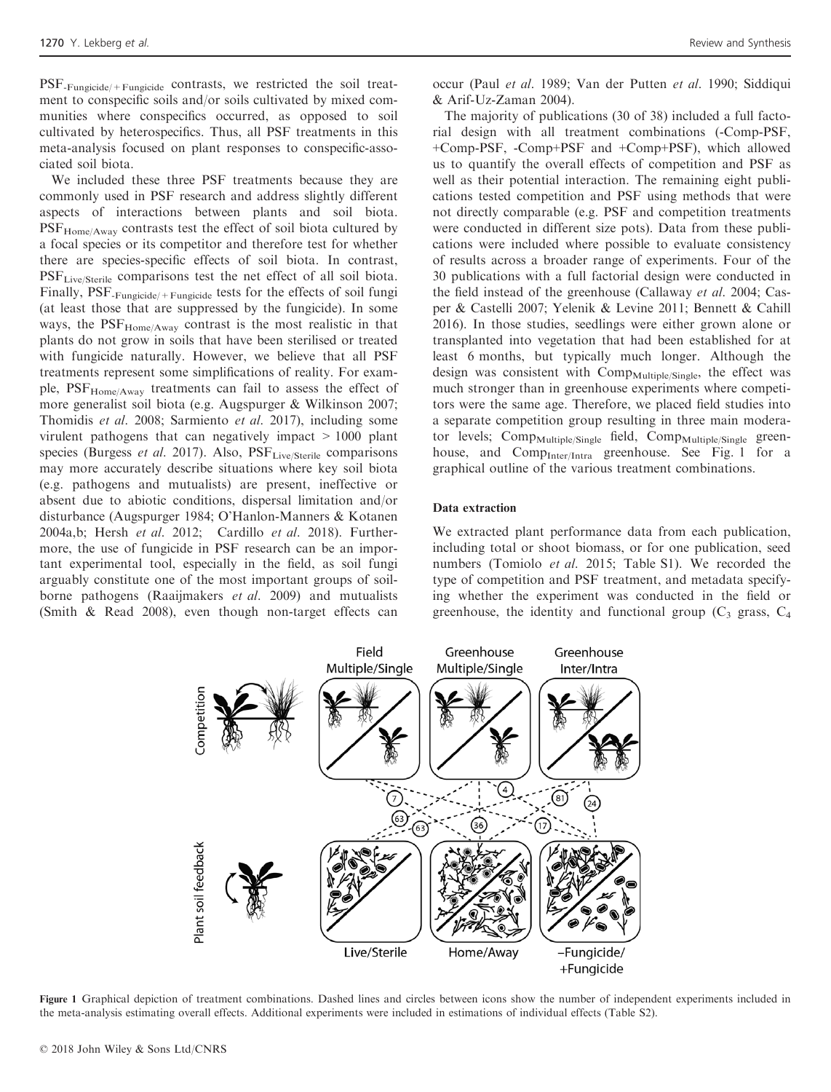PSF-Fungicide/+Fungicide contrasts, we restricted the soil treatment to conspecific soils and/or soils cultivated by mixed communities where conspecifics occurred, as opposed to soil cultivated by heterospecifics. Thus, all PSF treatments in this meta-analysis focused on plant responses to conspecific-associated soil biota.

We included these three PSF treatments because they are commonly used in PSF research and address slightly different aspects of interactions between plants and soil biota. PSF<sub>Home/Away</sub> contrasts test the effect of soil biota cultured by a focal species or its competitor and therefore test for whether there are species-specific effects of soil biota. In contrast, PSF<sub>Live/Sterile</sub> comparisons test the net effect of all soil biota. Finally, PSF<sub>-Fungicide/+Fungicide</sub> tests for the effects of soil fungi (at least those that are suppressed by the fungicide). In some ways, the PSF<sub>Home/Away</sub> contrast is the most realistic in that plants do not grow in soils that have been sterilised or treated with fungicide naturally. However, we believe that all PSF treatments represent some simplifications of reality. For example, PSF<sub>Home/Away</sub> treatments can fail to assess the effect of more generalist soil biota (e.g. Augspurger & Wilkinson 2007; Thomidis et al. 2008; Sarmiento et al. 2017), including some virulent pathogens that can negatively impact > 1000 plant species (Burgess et al. 2017). Also, PSF<sub>Live/Sterile</sub> comparisons may more accurately describe situations where key soil biota (e.g. pathogens and mutualists) are present, ineffective or absent due to abiotic conditions, dispersal limitation and/or disturbance (Augspurger 1984; O'Hanlon-Manners & Kotanen 2004a,b; Hersh et al. 2012; Cardillo et al. 2018). Furthermore, the use of fungicide in PSF research can be an important experimental tool, especially in the field, as soil fungi arguably constitute one of the most important groups of soilborne pathogens (Raaijmakers et al. 2009) and mutualists (Smith & Read 2008), even though non-target effects can

occur (Paul et al. 1989; Van der Putten et al. 1990; Siddiqui & Arif-Uz-Zaman 2004).

The majority of publications (30 of 38) included a full factorial design with all treatment combinations (-Comp-PSF, +Comp-PSF, -Comp+PSF and +Comp+PSF), which allowed us to quantify the overall effects of competition and PSF as well as their potential interaction. The remaining eight publications tested competition and PSF using methods that were not directly comparable (e.g. PSF and competition treatments were conducted in different size pots). Data from these publications were included where possible to evaluate consistency of results across a broader range of experiments. Four of the 30 publications with a full factorial design were conducted in the field instead of the greenhouse (Callaway et al. 2004; Casper & Castelli 2007; Yelenik & Levine 2011; Bennett & Cahill 2016). In those studies, seedlings were either grown alone or transplanted into vegetation that had been established for at least 6 months, but typically much longer. Although the design was consistent with Comp<sub>Multiple/Single</sub>, the effect was much stronger than in greenhouse experiments where competitors were the same age. Therefore, we placed field studies into a separate competition group resulting in three main moderator levels;  $Comp_{\text{Multiple/Single}}$  field,  $Comp_{\text{Multiple/Single}}$  greenhouse, and Comp<sub>Inter/Intra</sub> greenhouse. See Fig. 1 for a graphical outline of the various treatment combinations.

#### Data extraction

We extracted plant performance data from each publication, including total or shoot biomass, or for one publication, seed numbers (Tomiolo et al. 2015; Table S1). We recorded the type of competition and PSF treatment, and metadata specifying whether the experiment was conducted in the field or greenhouse, the identity and functional group  $(C_3$  grass,  $C_4$ 



Figure 1 Graphical depiction of treatment combinations. Dashed lines and circles between icons show the number of independent experiments included in the meta-analysis estimating overall effects. Additional experiments were included in estimations of individual effects (Table S2).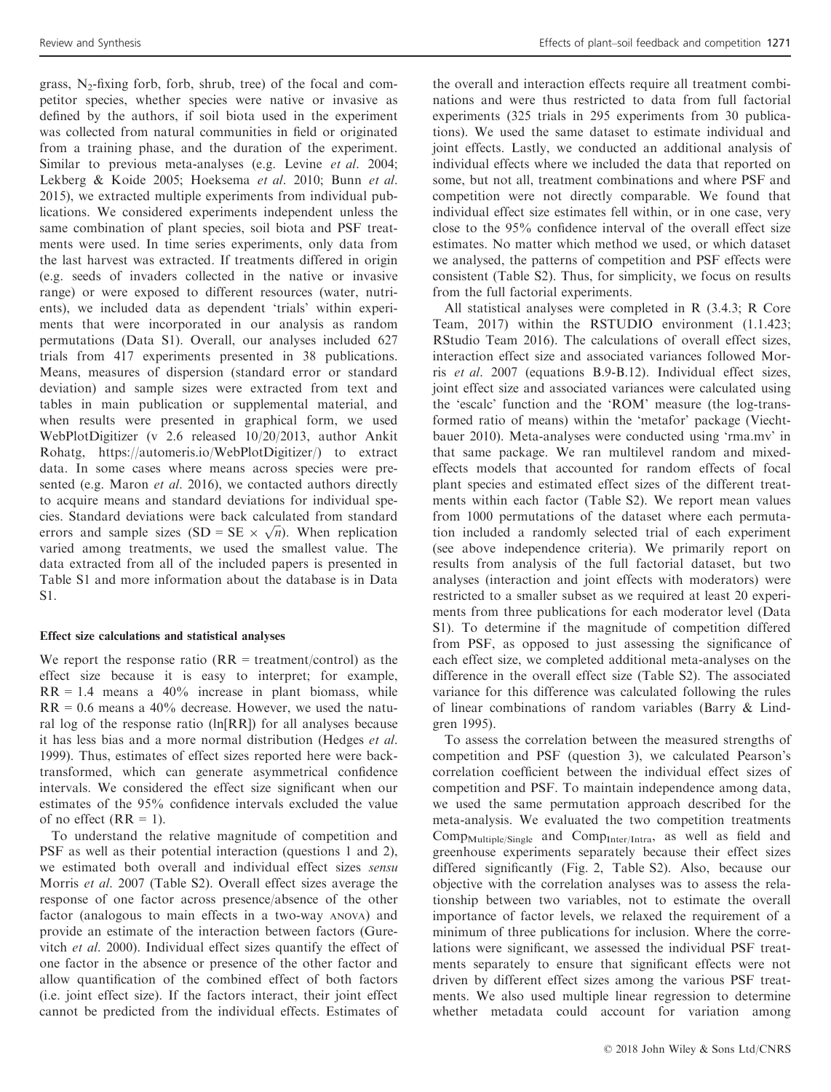grass,  $N_2$ -fixing forb, forb, shrub, tree) of the focal and competitor species, whether species were native or invasive as defined by the authors, if soil biota used in the experiment was collected from natural communities in field or originated from a training phase, and the duration of the experiment. Similar to previous meta-analyses (e.g. Levine et al. 2004; Lekberg & Koide 2005; Hoeksema et al. 2010; Bunn et al. 2015), we extracted multiple experiments from individual publications. We considered experiments independent unless the same combination of plant species, soil biota and PSF treatments were used. In time series experiments, only data from the last harvest was extracted. If treatments differed in origin (e.g. seeds of invaders collected in the native or invasive range) or were exposed to different resources (water, nutrients), we included data as dependent 'trials' within experiments that were incorporated in our analysis as random permutations (Data S1). Overall, our analyses included 627 trials from 417 experiments presented in 38 publications. Means, measures of dispersion (standard error or standard deviation) and sample sizes were extracted from text and tables in main publication or supplemental material, and when results were presented in graphical form, we used WebPlotDigitizer (v 2.6 released 10/20/2013, author Ankit Rohatg,<https://automeris.io/WebPlotDigitizer/>) to extract data. In some cases where means across species were presented (e.g. Maron *et al.* 2016), we contacted authors directly to acquire means and standard deviations for individual species. Standard deviations were back calculated from standard cies. Standard deviations were back calculated from standard errors and sample sizes  $(SD = SE \times \sqrt{n})$ . When replication varied among treatments, we used the smallest value. The data extracted from all of the included papers is presented in Table S1 and more information about the database is in Data S1.

# Effect size calculations and statistical analyses

We report the response ratio  $(RR = treatment/control)$  as the effect size because it is easy to interpret; for example,  $RR = 1.4$  means a 40% increase in plant biomass, while  $RR = 0.6$  means a 40% decrease. However, we used the natural log of the response ratio (ln[RR]) for all analyses because it has less bias and a more normal distribution (Hedges et al. 1999). Thus, estimates of effect sizes reported here were backtransformed, which can generate asymmetrical confidence intervals. We considered the effect size significant when our estimates of the 95% confidence intervals excluded the value of no effect  $(RR = 1)$ .

To understand the relative magnitude of competition and PSF as well as their potential interaction (questions 1 and 2), we estimated both overall and individual effect sizes sensu Morris et al. 2007 (Table S2). Overall effect sizes average the response of one factor across presence/absence of the other factor (analogous to main effects in a two-way ANOVA) and provide an estimate of the interaction between factors (Gurevitch et al. 2000). Individual effect sizes quantify the effect of one factor in the absence or presence of the other factor and allow quantification of the combined effect of both factors (i.e. joint effect size). If the factors interact, their joint effect cannot be predicted from the individual effects. Estimates of

the overall and interaction effects require all treatment combinations and were thus restricted to data from full factorial experiments (325 trials in 295 experiments from 30 publications). We used the same dataset to estimate individual and joint effects. Lastly, we conducted an additional analysis of individual effects where we included the data that reported on some, but not all, treatment combinations and where PSF and competition were not directly comparable. We found that individual effect size estimates fell within, or in one case, very close to the 95% confidence interval of the overall effect size estimates. No matter which method we used, or which dataset we analysed, the patterns of competition and PSF effects were consistent (Table S2). Thus, for simplicity, we focus on results from the full factorial experiments.

All statistical analyses were completed in R (3.4.3; R Core Team, 2017) within the RSTUDIO environment (1.1.423; RStudio Team 2016). The calculations of overall effect sizes, interaction effect size and associated variances followed Morris et al. 2007 (equations B.9-B.12). Individual effect sizes, joint effect size and associated variances were calculated using the 'escalc' function and the 'ROM' measure (the log-transformed ratio of means) within the 'metafor' package (Viechtbauer 2010). Meta-analyses were conducted using 'rma.mv' in that same package. We ran multilevel random and mixedeffects models that accounted for random effects of focal plant species and estimated effect sizes of the different treatments within each factor (Table S2). We report mean values from 1000 permutations of the dataset where each permutation included a randomly selected trial of each experiment (see above independence criteria). We primarily report on results from analysis of the full factorial dataset, but two analyses (interaction and joint effects with moderators) were restricted to a smaller subset as we required at least 20 experiments from three publications for each moderator level (Data S1). To determine if the magnitude of competition differed from PSF, as opposed to just assessing the significance of each effect size, we completed additional meta-analyses on the difference in the overall effect size (Table S2). The associated variance for this difference was calculated following the rules of linear combinations of random variables (Barry & Lindgren 1995).

To assess the correlation between the measured strengths of competition and PSF (question 3), we calculated Pearson's correlation coefficient between the individual effect sizes of competition and PSF. To maintain independence among data, we used the same permutation approach described for the meta-analysis. We evaluated the two competition treatments Comp<sub>Multiple/Single</sub> and Comp<sub>Inter/Intra</sub>, as well as field and greenhouse experiments separately because their effect sizes differed significantly (Fig. 2, Table S2). Also, because our objective with the correlation analyses was to assess the relationship between two variables, not to estimate the overall importance of factor levels, we relaxed the requirement of a minimum of three publications for inclusion. Where the correlations were significant, we assessed the individual PSF treatments separately to ensure that significant effects were not driven by different effect sizes among the various PSF treatments. We also used multiple linear regression to determine whether metadata could account for variation among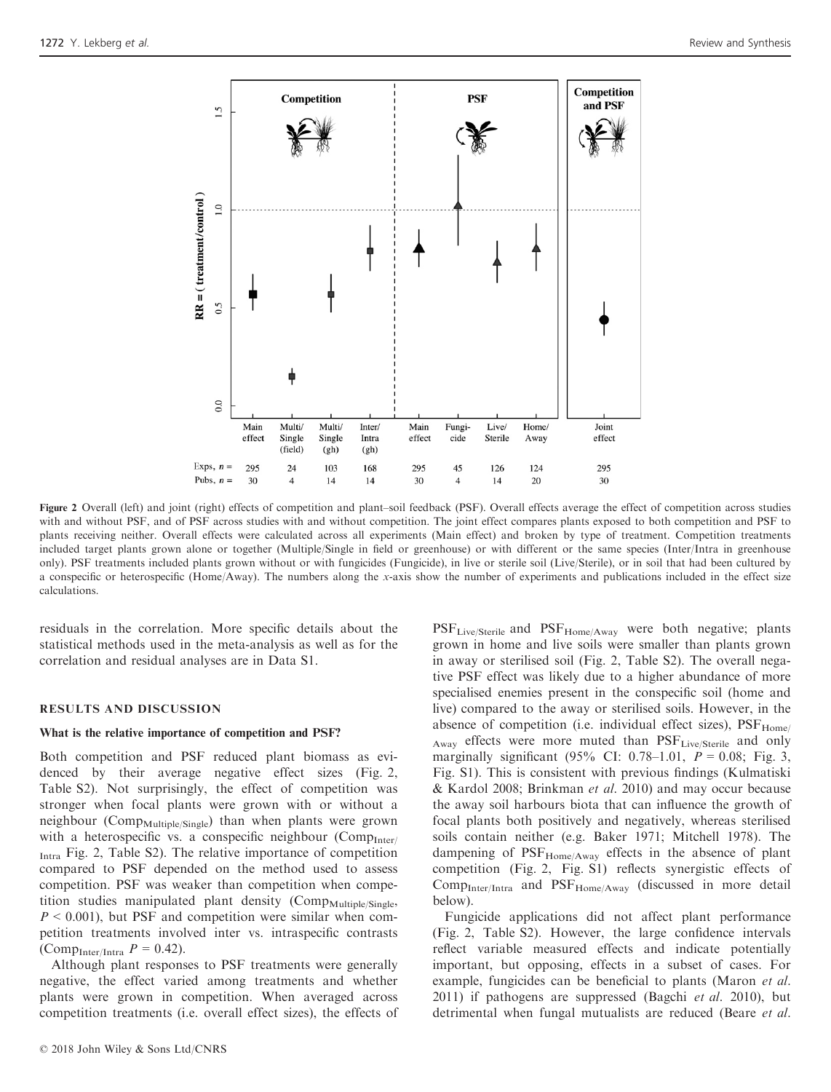

Figure 2 Overall (left) and joint (right) effects of competition and plant–soil feedback (PSF). Overall effects average the effect of competition across studies with and without PSF, and of PSF across studies with and without competition. The joint effect compares plants exposed to both competition and PSF to plants receiving neither. Overall effects were calculated across all experiments (Main effect) and broken by type of treatment. Competition treatments included target plants grown alone or together (Multiple/Single in field or greenhouse) or with different or the same species (Inter/Intra in greenhouse only). PSF treatments included plants grown without or with fungicides (Fungicide), in live or sterile soil (Live/Sterile), or in soil that had been cultured by a conspecific or heterospecific (Home/Away). The numbers along the x-axis show the number of experiments and publications included in the effect size calculations.

residuals in the correlation. More specific details about the statistical methods used in the meta-analysis as well as for the correlation and residual analyses are in Data S1.

#### RESULTS AND DISCUSSION

#### What is the relative importance of competition and PSF?

Both competition and PSF reduced plant biomass as evidenced by their average negative effect sizes (Fig. 2, Table S2). Not surprisingly, the effect of competition was stronger when focal plants were grown with or without a neighbour (Comp<sub>Multiple/Single</sub>) than when plants were grown with a heterospecific vs. a conspecific neighbour  $(Comp_{Inter}/$ Intra Fig. 2, Table S2). The relative importance of competition compared to PSF depended on the method used to assess competition. PSF was weaker than competition when competition studies manipulated plant density (Comp<sub>Multiple/Single</sub>,  $P < 0.001$ ), but PSF and competition were similar when competition treatments involved inter vs. intraspecific contrasts (Comp<sub>Inter/Intra</sub>  $P = 0.42$ ).

Although plant responses to PSF treatments were generally negative, the effect varied among treatments and whether plants were grown in competition. When averaged across competition treatments (i.e. overall effect sizes), the effects of

© 2018 John Wiley & Sons Ltd/CNRS

PSF<sub>Live/Sterile</sub> and PSF<sub>Home/Away</sub> were both negative; plants grown in home and live soils were smaller than plants grown in away or sterilised soil (Fig. 2, Table S2). The overall negative PSF effect was likely due to a higher abundance of more specialised enemies present in the conspecific soil (home and live) compared to the away or sterilised soils. However, in the absence of competition (i.e. individual effect sizes),  $PSF_{Home}$ / Away effects were more muted than PSF<sub>Live/Sterile</sub> and only marginally significant (95% CI: 0.78–1.01,  $P = 0.08$ ; Fig. 3, Fig. S1). This is consistent with previous findings (Kulmatiski & Kardol 2008; Brinkman et al. 2010) and may occur because the away soil harbours biota that can influence the growth of focal plants both positively and negatively, whereas sterilised soils contain neither (e.g. Baker 1971; Mitchell 1978). The dampening of  $PSF<sub>Home/Away</sub>$  effects in the absence of plant competition (Fig. 2, Fig. S1) reflects synergistic effects of CompInter/Intra and PSFHome/Away (discussed in more detail below).

Fungicide applications did not affect plant performance (Fig. 2, Table S2). However, the large confidence intervals reflect variable measured effects and indicate potentially important, but opposing, effects in a subset of cases. For example, fungicides can be beneficial to plants (Maron et al. 2011) if pathogens are suppressed (Bagchi *et al.* 2010), but detrimental when fungal mutualists are reduced (Beare *et al.*)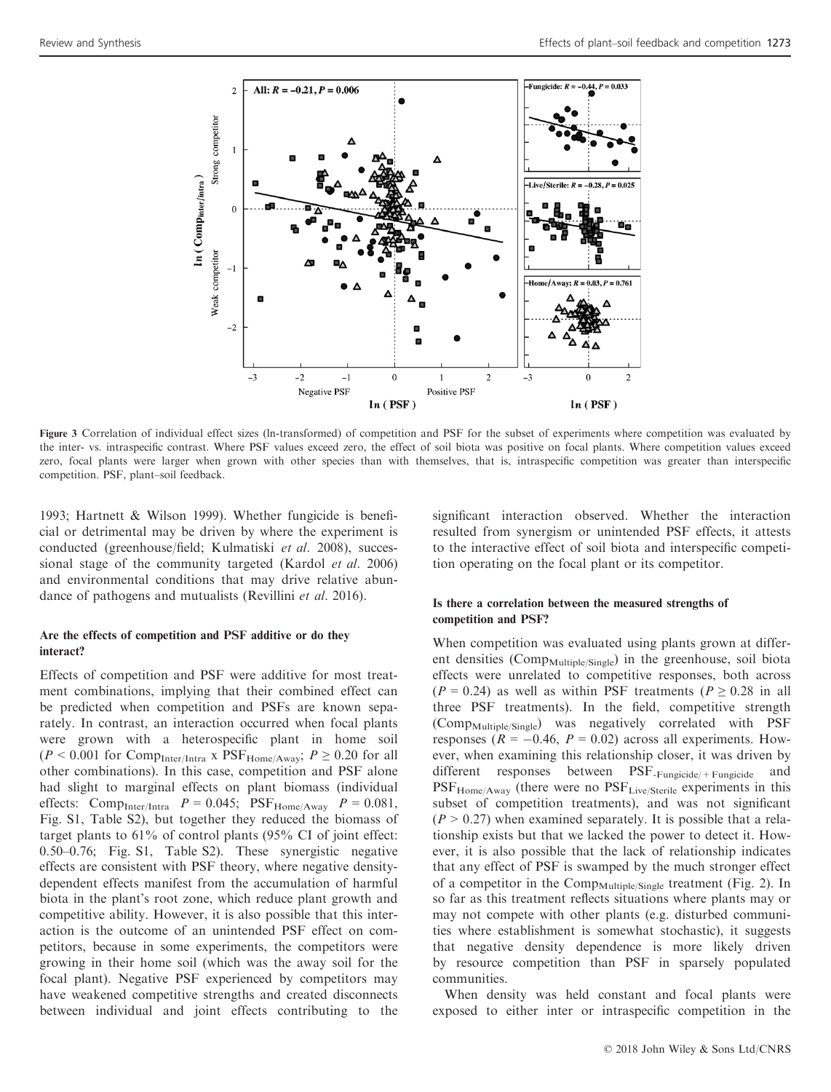

Figure 3 Correlation of individual effect sizes (ln-transformed) of competition and PSF for the subset of experiments where competition was evaluated by the inter- vs. intraspecific contrast. Where PSF values exceed zero, the effect of soil biota was positive on focal plants. Where competition values exceed zero, focal plants were larger when grown with other species than with themselves, that is, intraspecific competition was greater than interspecific competition. PSF, plant–soil feedback.

1993; Hartnett & Wilson 1999). Whether fungicide is beneficial or detrimental may be driven by where the experiment is conducted (greenhouse/field; Kulmatiski et al. 2008), successional stage of the community targeted (Kardol et al. 2006) and environmental conditions that may drive relative abundance of pathogens and mutualists (Revillini et al. 2016).

# Are the effects of competition and PSF additive or do they interact?

Effects of competition and PSF were additive for most treatment combinations, implying that their combined effect can be predicted when competition and PSFs are known separately. In contrast, an interaction occurred when focal plants were grown with a heterospecific plant in home soil  $(P < 0.001$  for Comp<sub>Inter/Intra</sub> x PSF<sub>Home/Away</sub>;  $P \ge 0.20$  for all other combinations). In this case, competition and PSF alone had slight to marginal effects on plant biomass (individual effects: Comp<sub>Inter/Intra</sub>  $P = 0.045$ ; PSF<sub>Home/Away</sub>  $P = 0.081$ , Fig. S1, Table S2), but together they reduced the biomass of target plants to 61% of control plants (95% CI of joint effect: 0.50–0.76; Fig. S1, Table S2). These synergistic negative effects are consistent with PSF theory, where negative densitydependent effects manifest from the accumulation of harmful biota in the plant's root zone, which reduce plant growth and competitive ability. However, it is also possible that this interaction is the outcome of an unintended PSF effect on competitors, because in some experiments, the competitors were growing in their home soil (which was the away soil for the focal plant). Negative PSF experienced by competitors may have weakened competitive strengths and created disconnects between individual and joint effects contributing to the

significant interaction observed. Whether the interaction resulted from synergism or unintended PSF effects, it attests to the interactive effect of soil biota and interspecific competition operating on the focal plant or its competitor.

#### Is there a correlation between the measured strengths of competition and PSF?

When competition was evaluated using plants grown at different densities (Comp<sub>Multiple/Single</sub>) in the greenhouse, soil biota effects were unrelated to competitive responses, both across ( $P = 0.24$ ) as well as within PSF treatments ( $P \ge 0.28$  in all three PSF treatments). In the field, competitive strength (Comp<sub>Multiple/Single</sub>) was negatively correlated with PSF responses ( $R = -0.46$ ,  $P = 0.02$ ) across all experiments. However, when examining this relationship closer, it was driven by different responses between PSF-Fungicide/+Fungicide and PSF<sub>Home/Away</sub> (there were no PSF<sub>Live/Sterile</sub> experiments in this subset of competition treatments), and was not significant  $(P > 0.27)$  when examined separately. It is possible that a relationship exists but that we lacked the power to detect it. However, it is also possible that the lack of relationship indicates that any effect of PSF is swamped by the much stronger effect of a competitor in the  $Comp_{\text{Multiple/Single}}$  treatment (Fig. 2). In so far as this treatment reflects situations where plants may or may not compete with other plants (e.g. disturbed communities where establishment is somewhat stochastic), it suggests that negative density dependence is more likely driven by resource competition than PSF in sparsely populated communities.

When density was held constant and focal plants were exposed to either inter or intraspecific competition in the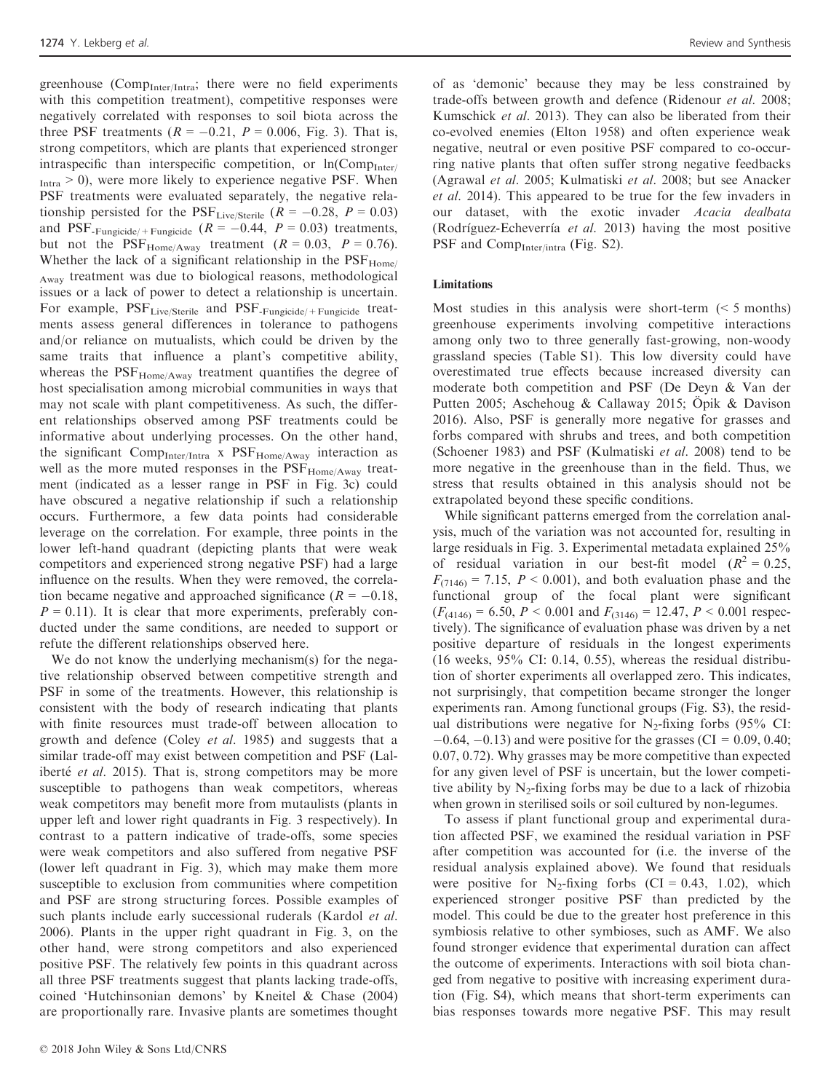greenhouse (Comp<sub>Inter/Intra</sub>; there were no field experiments with this competition treatment), competitive responses were negatively correlated with responses to soil biota across the three PSF treatments  $(R = -0.21, P = 0.006, Fig. 3)$ . That is, strong competitors, which are plants that experienced stronger intraspecific than interspecific competition, or  $ln(Comp_{Inter}/T)$  $I<sub>Intra</sub> > 0$ , were more likely to experience negative PSF. When PSF treatments were evaluated separately, the negative relationship persisted for the  $PSF_{\text{Live/Sterile}}$   $(R = -0.28, P = 0.03)$ and PSF<sub>-Fungicide</sub>  $(R = -0.44, P = 0.03)$  treatments, but not the  $PSF_{Home/Awav}$  treatment ( $R = 0.03$ ,  $P = 0.76$ ). Whether the lack of a significant relationship in the  $PSF_{Home}$ Away treatment was due to biological reasons, methodological issues or a lack of power to detect a relationship is uncertain. For example,  $PSF<sub>Live/Stevile</sub>$  and  $PSF<sub>-Funsicide/+Funsicide</sub>$  treatments assess general differences in tolerance to pathogens and/or reliance on mutualists, which could be driven by the same traits that influence a plant's competitive ability, whereas the PSF<sub>Home/Away</sub> treatment quantifies the degree of host specialisation among microbial communities in ways that may not scale with plant competitiveness. As such, the different relationships observed among PSF treatments could be informative about underlying processes. On the other hand, the significant Comp $_{\text{Inter/Intra}}$  x  $\text{PSF}_{\text{Home/Away}}$  interaction as well as the more muted responses in the  $PSF<sub>Home/Away</sub>$  treatment (indicated as a lesser range in PSF in Fig. 3c) could have obscured a negative relationship if such a relationship occurs. Furthermore, a few data points had considerable leverage on the correlation. For example, three points in the lower left-hand quadrant (depicting plants that were weak competitors and experienced strong negative PSF) had a large influence on the results. When they were removed, the correlation became negative and approached significance ( $R = -0.18$ ,  $P = 0.11$ ). It is clear that more experiments, preferably conducted under the same conditions, are needed to support or refute the different relationships observed here.

We do not know the underlying mechanism(s) for the negative relationship observed between competitive strength and PSF in some of the treatments. However, this relationship is consistent with the body of research indicating that plants with finite resources must trade-off between allocation to growth and defence (Coley et al. 1985) and suggests that a similar trade-off may exist between competition and PSF (Laliberté et al. 2015). That is, strong competitors may be more susceptible to pathogens than weak competitors, whereas weak competitors may benefit more from mutaulists (plants in upper left and lower right quadrants in Fig. 3 respectively). In contrast to a pattern indicative of trade-offs, some species were weak competitors and also suffered from negative PSF (lower left quadrant in Fig. 3), which may make them more susceptible to exclusion from communities where competition and PSF are strong structuring forces. Possible examples of such plants include early successional ruderals (Kardol et al. 2006). Plants in the upper right quadrant in Fig. 3, on the other hand, were strong competitors and also experienced positive PSF. The relatively few points in this quadrant across all three PSF treatments suggest that plants lacking trade-offs, coined 'Hutchinsonian demons' by Kneitel & Chase (2004) are proportionally rare. Invasive plants are sometimes thought

of as 'demonic' because they may be less constrained by trade-offs between growth and defence (Ridenour et al. 2008; Kumschick et al. 2013). They can also be liberated from their co-evolved enemies (Elton 1958) and often experience weak negative, neutral or even positive PSF compared to co-occurring native plants that often suffer strong negative feedbacks (Agrawal et al. 2005; Kulmatiski et al. 2008; but see Anacker et al. 2014). This appeared to be true for the few invaders in our dataset, with the exotic invader Acacia dealbata (Rodríguez-Echeverría et al. 2013) having the most positive PSF and  $Comp<sub>Inter/intra</sub>$  (Fig. S2).

#### Limitations

Most studies in this analysis were short-term  $\approx$  5 months) greenhouse experiments involving competitive interactions among only two to three generally fast-growing, non-woody grassland species (Table S1). This low diversity could have overestimated true effects because increased diversity can moderate both competition and PSF (De Deyn & Van der Putten 2005; Aschehoug & Callaway 2015; Opik & Davison 2016). Also, PSF is generally more negative for grasses and forbs compared with shrubs and trees, and both competition (Schoener 1983) and PSF (Kulmatiski et al. 2008) tend to be more negative in the greenhouse than in the field. Thus, we stress that results obtained in this analysis should not be extrapolated beyond these specific conditions.

While significant patterns emerged from the correlation analysis, much of the variation was not accounted for, resulting in large residuals in Fig. 3. Experimental metadata explained 25% of residual variation in our best-fit model  $(R^2 = 0.25$ ,  $F_{(7146)} = 7.15$ ,  $P < 0.001$ ), and both evaluation phase and the functional group of the focal plant were significant  $(F_{(4146)} = 6.50, P < 0.001$  and  $F_{(3146)} = 12.47, P < 0.001$  respectively). The significance of evaluation phase was driven by a net positive departure of residuals in the longest experiments (16 weeks, 95% CI: 0.14, 0.55), whereas the residual distribution of shorter experiments all overlapped zero. This indicates, not surprisingly, that competition became stronger the longer experiments ran. Among functional groups (Fig. S3), the residual distributions were negative for  $N_2$ -fixing forbs (95% CI:  $-0.64, -0.13$ ) and were positive for the grasses (CI = 0.09, 0.40; 0.07, 0.72). Why grasses may be more competitive than expected for any given level of PSF is uncertain, but the lower competitive ability by  $N_2$ -fixing forbs may be due to a lack of rhizobia when grown in sterilised soils or soil cultured by non-legumes.

To assess if plant functional group and experimental duration affected PSF, we examined the residual variation in PSF after competition was accounted for (i.e. the inverse of the residual analysis explained above). We found that residuals were positive for N<sub>2</sub>-fixing forbs  $(CI = 0.43, 1.02)$ , which experienced stronger positive PSF than predicted by the model. This could be due to the greater host preference in this symbiosis relative to other symbioses, such as AMF. We also found stronger evidence that experimental duration can affect the outcome of experiments. Interactions with soil biota changed from negative to positive with increasing experiment duration (Fig. S4), which means that short-term experiments can bias responses towards more negative PSF. This may result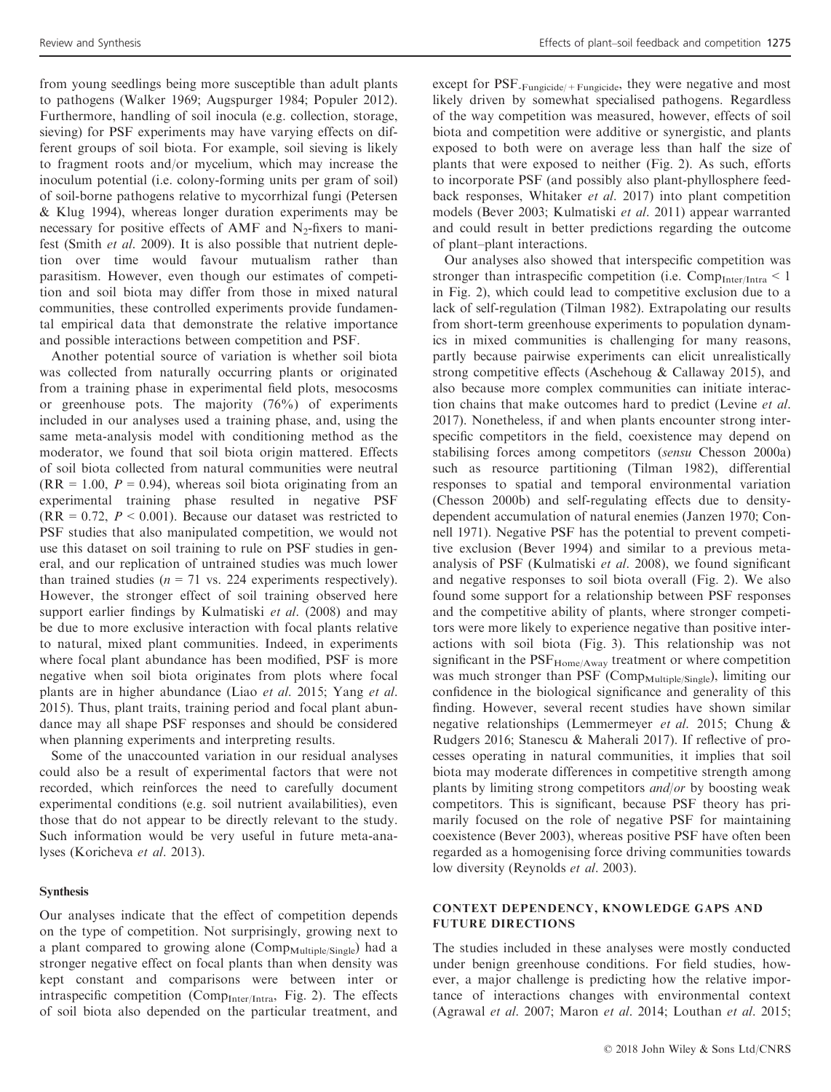from young seedlings being more susceptible than adult plants to pathogens (Walker 1969; Augspurger 1984; Populer 2012). Furthermore, handling of soil inocula (e.g. collection, storage, sieving) for PSF experiments may have varying effects on different groups of soil biota. For example, soil sieving is likely to fragment roots and/or mycelium, which may increase the inoculum potential (i.e. colony-forming units per gram of soil) of soil-borne pathogens relative to mycorrhizal fungi (Petersen & Klug 1994), whereas longer duration experiments may be necessary for positive effects of AMF and  $N_2$ -fixers to manifest (Smith et al. 2009). It is also possible that nutrient depletion over time would favour mutualism rather than parasitism. However, even though our estimates of competition and soil biota may differ from those in mixed natural communities, these controlled experiments provide fundamental empirical data that demonstrate the relative importance and possible interactions between competition and PSF.

Another potential source of variation is whether soil biota was collected from naturally occurring plants or originated from a training phase in experimental field plots, mesocosms or greenhouse pots. The majority (76%) of experiments included in our analyses used a training phase, and, using the same meta-analysis model with conditioning method as the moderator, we found that soil biota origin mattered. Effects of soil biota collected from natural communities were neutral  $(RR = 1.00, P = 0.94)$ , whereas soil biota originating from an experimental training phase resulted in negative PSF  $(RR = 0.72, P < 0.001)$ . Because our dataset was restricted to PSF studies that also manipulated competition, we would not use this dataset on soil training to rule on PSF studies in general, and our replication of untrained studies was much lower than trained studies ( $n = 71$  vs. 224 experiments respectively). However, the stronger effect of soil training observed here support earlier findings by Kulmatiski et al. (2008) and may be due to more exclusive interaction with focal plants relative to natural, mixed plant communities. Indeed, in experiments where focal plant abundance has been modified, PSF is more negative when soil biota originates from plots where focal plants are in higher abundance (Liao et al. 2015; Yang et al. 2015). Thus, plant traits, training period and focal plant abundance may all shape PSF responses and should be considered when planning experiments and interpreting results.

Some of the unaccounted variation in our residual analyses could also be a result of experimental factors that were not recorded, which reinforces the need to carefully document experimental conditions (e.g. soil nutrient availabilities), even those that do not appear to be directly relevant to the study. Such information would be very useful in future meta-analyses (Koricheva et al. 2013).

#### Synthesis

Our analyses indicate that the effect of competition depends on the type of competition. Not surprisingly, growing next to a plant compared to growing alone (Comp<sub>Multiple/Single</sub>) had a stronger negative effect on focal plants than when density was kept constant and comparisons were between inter or intraspecific competition (Comp $_{Inter/Intra}$ , Fig. 2). The effects of soil biota also depended on the particular treatment, and

except for PSF<sub>-Fungicide/+Fungicide</sub>, they were negative and most likely driven by somewhat specialised pathogens. Regardless of the way competition was measured, however, effects of soil biota and competition were additive or synergistic, and plants exposed to both were on average less than half the size of plants that were exposed to neither (Fig. 2). As such, efforts to incorporate PSF (and possibly also plant-phyllosphere feedback responses, Whitaker et al. 2017) into plant competition models (Bever 2003; Kulmatiski et al. 2011) appear warranted and could result in better predictions regarding the outcome of plant–plant interactions.

Our analyses also showed that interspecific competition was stronger than intraspecific competition (i.e.  $Comp_{Inter/Intra} < 1$ in Fig. 2), which could lead to competitive exclusion due to a lack of self-regulation (Tilman 1982). Extrapolating our results from short-term greenhouse experiments to population dynamics in mixed communities is challenging for many reasons, partly because pairwise experiments can elicit unrealistically strong competitive effects (Aschehoug & Callaway 2015), and also because more complex communities can initiate interaction chains that make outcomes hard to predict (Levine et al. 2017). Nonetheless, if and when plants encounter strong interspecific competitors in the field, coexistence may depend on stabilising forces among competitors (sensu Chesson 2000a) such as resource partitioning (Tilman 1982), differential responses to spatial and temporal environmental variation (Chesson 2000b) and self-regulating effects due to densitydependent accumulation of natural enemies (Janzen 1970; Connell 1971). Negative PSF has the potential to prevent competitive exclusion (Bever 1994) and similar to a previous metaanalysis of PSF (Kulmatiski et al. 2008), we found significant and negative responses to soil biota overall (Fig. 2). We also found some support for a relationship between PSF responses and the competitive ability of plants, where stronger competitors were more likely to experience negative than positive interactions with soil biota (Fig. 3). This relationship was not significant in the  $PSF_{Home/Away}$  treatment or where competition was much stronger than PSF (Comp<sub>Multiple/Single</sub>), limiting our confidence in the biological significance and generality of this finding. However, several recent studies have shown similar negative relationships (Lemmermeyer et al. 2015; Chung & Rudgers 2016; Stanescu & Maherali 2017). If reflective of processes operating in natural communities, it implies that soil biota may moderate differences in competitive strength among plants by limiting strong competitors and/or by boosting weak competitors. This is significant, because PSF theory has primarily focused on the role of negative PSF for maintaining coexistence (Bever 2003), whereas positive PSF have often been regarded as a homogenising force driving communities towards low diversity (Reynolds et al. 2003).

# CONTEXT DEPENDENCY, KNOWLEDGE GAPS AND FUTURE DIRECTIONS

The studies included in these analyses were mostly conducted under benign greenhouse conditions. For field studies, however, a major challenge is predicting how the relative importance of interactions changes with environmental context (Agrawal et al. 2007; Maron et al. 2014; Louthan et al. 2015;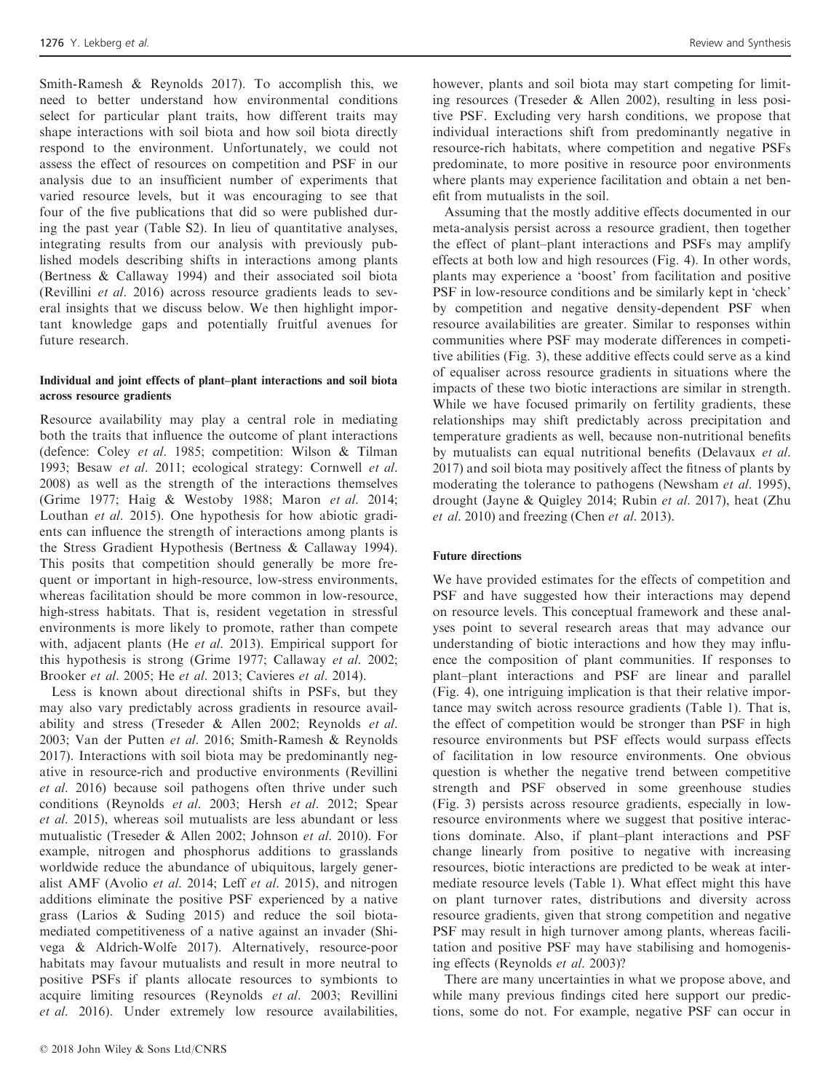Smith-Ramesh & Reynolds 2017). To accomplish this, we need to better understand how environmental conditions select for particular plant traits, how different traits may shape interactions with soil biota and how soil biota directly respond to the environment. Unfortunately, we could not assess the effect of resources on competition and PSF in our analysis due to an insufficient number of experiments that varied resource levels, but it was encouraging to see that four of the five publications that did so were published during the past year (Table S2). In lieu of quantitative analyses, integrating results from our analysis with previously published models describing shifts in interactions among plants (Bertness & Callaway 1994) and their associated soil biota (Revillini et al. 2016) across resource gradients leads to several insights that we discuss below. We then highlight important knowledge gaps and potentially fruitful avenues for future research.

# Individual and joint effects of plant–plant interactions and soil biota across resource gradients

Resource availability may play a central role in mediating both the traits that influence the outcome of plant interactions (defence: Coley et al. 1985; competition: Wilson & Tilman 1993; Besaw et al. 2011; ecological strategy: Cornwell et al. 2008) as well as the strength of the interactions themselves (Grime 1977; Haig & Westoby 1988; Maron et al. 2014; Louthan et al. 2015). One hypothesis for how abiotic gradients can influence the strength of interactions among plants is the Stress Gradient Hypothesis (Bertness & Callaway 1994). This posits that competition should generally be more frequent or important in high-resource, low-stress environments, whereas facilitation should be more common in low-resource, high-stress habitats. That is, resident vegetation in stressful environments is more likely to promote, rather than compete with, adjacent plants (He et al. 2013). Empirical support for this hypothesis is strong (Grime 1977; Callaway et al. 2002; Brooker et al. 2005; He et al. 2013; Cavieres et al. 2014).

Less is known about directional shifts in PSFs, but they may also vary predictably across gradients in resource availability and stress (Treseder & Allen 2002; Reynolds et al. 2003; Van der Putten et al. 2016; Smith-Ramesh & Reynolds 2017). Interactions with soil biota may be predominantly negative in resource-rich and productive environments (Revillini et al. 2016) because soil pathogens often thrive under such conditions (Reynolds et al. 2003; Hersh et al. 2012; Spear et al. 2015), whereas soil mutualists are less abundant or less mutualistic (Treseder & Allen 2002; Johnson et al. 2010). For example, nitrogen and phosphorus additions to grasslands worldwide reduce the abundance of ubiquitous, largely generalist AMF (Avolio et al. 2014; Leff et al. 2015), and nitrogen additions eliminate the positive PSF experienced by a native grass (Larios & Suding 2015) and reduce the soil biotamediated competitiveness of a native against an invader (Shivega & Aldrich-Wolfe 2017). Alternatively, resource-poor habitats may favour mutualists and result in more neutral to positive PSFs if plants allocate resources to symbionts to acquire limiting resources (Reynolds et al. 2003; Revillini et al. 2016). Under extremely low resource availabilities,

however, plants and soil biota may start competing for limiting resources (Treseder & Allen 2002), resulting in less positive PSF. Excluding very harsh conditions, we propose that individual interactions shift from predominantly negative in resource-rich habitats, where competition and negative PSFs predominate, to more positive in resource poor environments where plants may experience facilitation and obtain a net benefit from mutualists in the soil.

Assuming that the mostly additive effects documented in our meta-analysis persist across a resource gradient, then together the effect of plant–plant interactions and PSFs may amplify effects at both low and high resources (Fig. 4). In other words, plants may experience a 'boost' from facilitation and positive PSF in low-resource conditions and be similarly kept in 'check' by competition and negative density-dependent PSF when resource availabilities are greater. Similar to responses within communities where PSF may moderate differences in competitive abilities (Fig. 3), these additive effects could serve as a kind of equaliser across resource gradients in situations where the impacts of these two biotic interactions are similar in strength. While we have focused primarily on fertility gradients, these relationships may shift predictably across precipitation and temperature gradients as well, because non-nutritional benefits by mutualists can equal nutritional benefits (Delavaux et al. 2017) and soil biota may positively affect the fitness of plants by moderating the tolerance to pathogens (Newsham *et al.* 1995), drought (Jayne & Quigley 2014; Rubin et al. 2017), heat (Zhu et al. 2010) and freezing (Chen et al. 2013).

#### Future directions

We have provided estimates for the effects of competition and PSF and have suggested how their interactions may depend on resource levels. This conceptual framework and these analyses point to several research areas that may advance our understanding of biotic interactions and how they may influence the composition of plant communities. If responses to plant–plant interactions and PSF are linear and parallel (Fig. 4), one intriguing implication is that their relative importance may switch across resource gradients (Table 1). That is, the effect of competition would be stronger than PSF in high resource environments but PSF effects would surpass effects of facilitation in low resource environments. One obvious question is whether the negative trend between competitive strength and PSF observed in some greenhouse studies (Fig. 3) persists across resource gradients, especially in lowresource environments where we suggest that positive interactions dominate. Also, if plant–plant interactions and PSF change linearly from positive to negative with increasing resources, biotic interactions are predicted to be weak at intermediate resource levels (Table 1). What effect might this have on plant turnover rates, distributions and diversity across resource gradients, given that strong competition and negative PSF may result in high turnover among plants, whereas facilitation and positive PSF may have stabilising and homogenising effects (Reynolds et al. 2003)?

There are many uncertainties in what we propose above, and while many previous findings cited here support our predictions, some do not. For example, negative PSF can occur in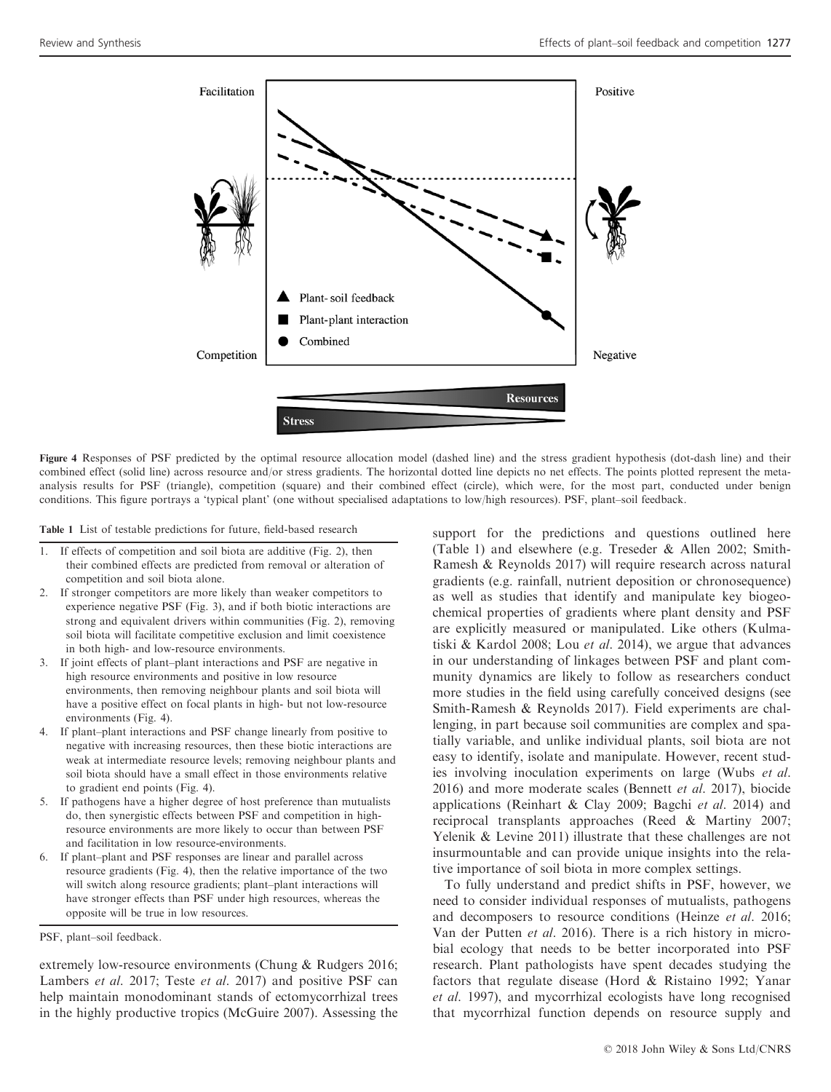

Figure 4 Responses of PSF predicted by the optimal resource allocation model (dashed line) and the stress gradient hypothesis (dot-dash line) and their combined effect (solid line) across resource and/or stress gradients. The horizontal dotted line depicts no net effects. The points plotted represent the metaanalysis results for PSF (triangle), competition (square) and their combined effect (circle), which were, for the most part, conducted under benign conditions. This figure portrays a 'typical plant' (one without specialised adaptations to low/high resources). PSF, plant–soil feedback.

Table 1 List of testable predictions for future, field-based research

- 1. If effects of competition and soil biota are additive (Fig. 2), then their combined effects are predicted from removal or alteration of competition and soil biota alone.
- 2. If stronger competitors are more likely than weaker competitors to experience negative PSF (Fig. 3), and if both biotic interactions are strong and equivalent drivers within communities (Fig. 2), removing soil biota will facilitate competitive exclusion and limit coexistence in both high- and low-resource environments.
- 3. If joint effects of plant–plant interactions and PSF are negative in high resource environments and positive in low resource environments, then removing neighbour plants and soil biota will have a positive effect on focal plants in high- but not low-resource environments (Fig. 4).
- 4. If plant–plant interactions and PSF change linearly from positive to negative with increasing resources, then these biotic interactions are weak at intermediate resource levels; removing neighbour plants and soil biota should have a small effect in those environments relative to gradient end points (Fig. 4).
- 5. If pathogens have a higher degree of host preference than mutualists do, then synergistic effects between PSF and competition in highresource environments are more likely to occur than between PSF and facilitation in low resource-environments.
- 6. If plant–plant and PSF responses are linear and parallel across resource gradients (Fig. 4), then the relative importance of the two will switch along resource gradients; plant–plant interactions will have stronger effects than PSF under high resources, whereas the opposite will be true in low resources.

PSF, plant–soil feedback.

extremely low-resource environments (Chung & Rudgers 2016; Lambers et al. 2017; Teste et al. 2017) and positive PSF can help maintain monodominant stands of ectomycorrhizal trees in the highly productive tropics (McGuire 2007). Assessing the

support for the predictions and questions outlined here (Table 1) and elsewhere (e.g. Treseder & Allen 2002; Smith-Ramesh & Reynolds 2017) will require research across natural gradients (e.g. rainfall, nutrient deposition or chronosequence) as well as studies that identify and manipulate key biogeochemical properties of gradients where plant density and PSF are explicitly measured or manipulated. Like others (Kulmatiski & Kardol 2008; Lou *et al.* 2014), we argue that advances in our understanding of linkages between PSF and plant community dynamics are likely to follow as researchers conduct more studies in the field using carefully conceived designs (see Smith-Ramesh & Reynolds 2017). Field experiments are challenging, in part because soil communities are complex and spatially variable, and unlike individual plants, soil biota are not easy to identify, isolate and manipulate. However, recent studies involving inoculation experiments on large (Wubs et al.  $2016$ ) and more moderate scales (Bennett et al. 2017), biocide applications (Reinhart & Clay 2009; Bagchi et al. 2014) and reciprocal transplants approaches (Reed & Martiny 2007; Yelenik & Levine 2011) illustrate that these challenges are not insurmountable and can provide unique insights into the relative importance of soil biota in more complex settings.

To fully understand and predict shifts in PSF, however, we need to consider individual responses of mutualists, pathogens and decomposers to resource conditions (Heinze et al. 2016; Van der Putten et al. 2016). There is a rich history in microbial ecology that needs to be better incorporated into PSF research. Plant pathologists have spent decades studying the factors that regulate disease (Hord & Ristaino 1992; Yanar et al. 1997), and mycorrhizal ecologists have long recognised that mycorrhizal function depends on resource supply and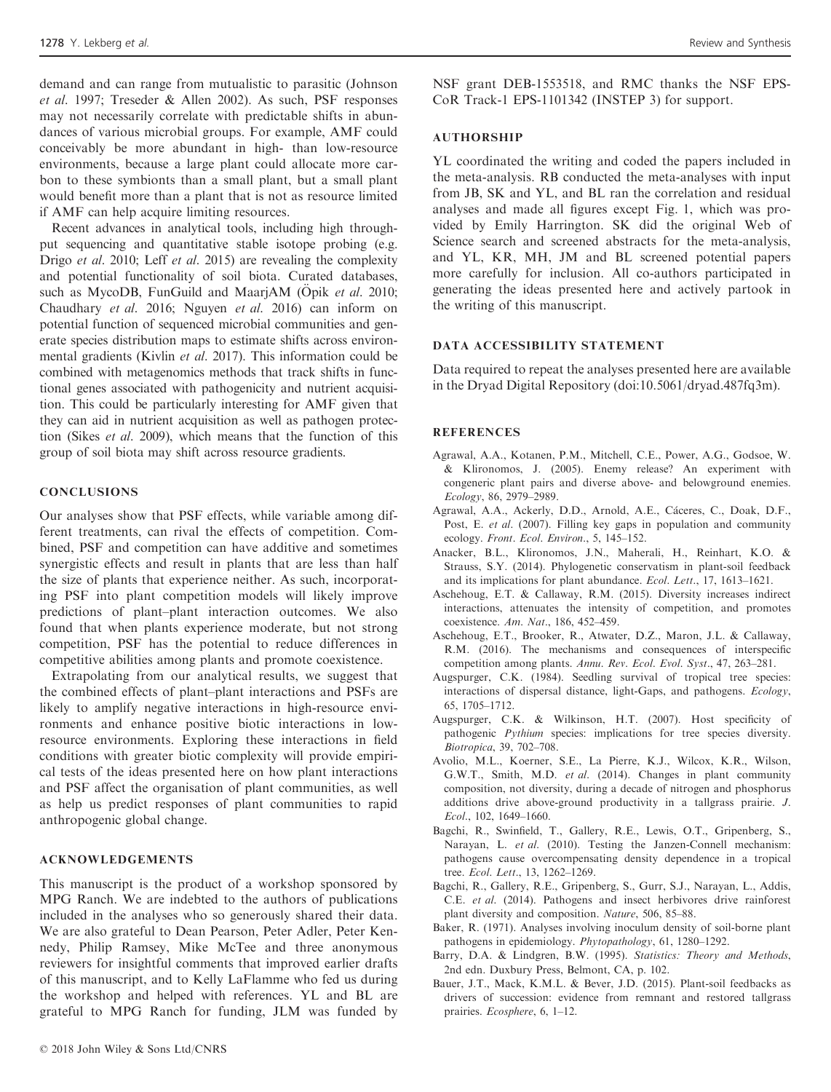demand and can range from mutualistic to parasitic (Johnson et al. 1997; Treseder & Allen 2002). As such, PSF responses may not necessarily correlate with predictable shifts in abundances of various microbial groups. For example, AMF could conceivably be more abundant in high- than low-resource environments, because a large plant could allocate more carbon to these symbionts than a small plant, but a small plant would benefit more than a plant that is not as resource limited if AMF can help acquire limiting resources.

Recent advances in analytical tools, including high throughput sequencing and quantitative stable isotope probing (e.g. Drigo et al. 2010; Leff et al. 2015) are revealing the complexity and potential functionality of soil biota. Curated databases, such as MycoDB, FunGuild and MaarjAM (Opik et al. 2010; Chaudhary et al. 2016; Nguyen et al. 2016) can inform on potential function of sequenced microbial communities and generate species distribution maps to estimate shifts across environmental gradients (Kivlin et al. 2017). This information could be combined with metagenomics methods that track shifts in functional genes associated with pathogenicity and nutrient acquisition. This could be particularly interesting for AMF given that they can aid in nutrient acquisition as well as pathogen protection (Sikes et al. 2009), which means that the function of this group of soil biota may shift across resource gradients.

#### **CONCLUSIONS**

Our analyses show that PSF effects, while variable among different treatments, can rival the effects of competition. Combined, PSF and competition can have additive and sometimes synergistic effects and result in plants that are less than half the size of plants that experience neither. As such, incorporating PSF into plant competition models will likely improve predictions of plant–plant interaction outcomes. We also found that when plants experience moderate, but not strong competition, PSF has the potential to reduce differences in competitive abilities among plants and promote coexistence.

Extrapolating from our analytical results, we suggest that the combined effects of plant–plant interactions and PSFs are likely to amplify negative interactions in high-resource environments and enhance positive biotic interactions in lowresource environments. Exploring these interactions in field conditions with greater biotic complexity will provide empirical tests of the ideas presented here on how plant interactions and PSF affect the organisation of plant communities, as well as help us predict responses of plant communities to rapid anthropogenic global change.

# ACKNOWLEDGEMENTS

This manuscript is the product of a workshop sponsored by MPG Ranch. We are indebted to the authors of publications included in the analyses who so generously shared their data. We are also grateful to Dean Pearson, Peter Adler, Peter Kennedy, Philip Ramsey, Mike McTee and three anonymous reviewers for insightful comments that improved earlier drafts of this manuscript, and to Kelly LaFlamme who fed us during the workshop and helped with references. YL and BL are grateful to MPG Ranch for funding, JLM was funded by

NSF grant DEB-1553518, and RMC thanks the NSF EPS-CoR Track-1 EPS-1101342 (INSTEP 3) for support.

#### AUTHORSHIP

YL coordinated the writing and coded the papers included in the meta-analysis. RB conducted the meta-analyses with input from JB, SK and YL, and BL ran the correlation and residual analyses and made all figures except Fig. 1, which was provided by Emily Harrington. SK did the original Web of Science search and screened abstracts for the meta-analysis, and YL, KR, MH, JM and BL screened potential papers more carefully for inclusion. All co-authors participated in generating the ideas presented here and actively partook in the writing of this manuscript.

#### DATA ACCESSIBILITY STATEMENT

Data required to repeat the analyses presented here are available in the Dryad Digital Repository (doi:[10.5061/dryad.487fq3m\)](https://doi.org/10.5061/dryad.487fq3m).

#### **REFERENCES**

- Agrawal, A.A., Kotanen, P.M., Mitchell, C.E., Power, A.G., Godsoe, W. & Klironomos, J. (2005). Enemy release? An experiment with congeneric plant pairs and diverse above- and belowground enemies. Ecology, 86, 2979–2989.
- Agrawal, A.A., Ackerly, D.D., Arnold, A.E., Cáceres, C., Doak, D.F., Post, E. et al. (2007). Filling key gaps in population and community ecology. Front. Ecol. Environ., 5, 145–152.
- Anacker, B.L., Klironomos, J.N., Maherali, H., Reinhart, K.O. & Strauss, S.Y. (2014). Phylogenetic conservatism in plant-soil feedback and its implications for plant abundance. Ecol. Lett., 17, 1613–1621.
- Aschehoug, E.T. & Callaway, R.M. (2015). Diversity increases indirect interactions, attenuates the intensity of competition, and promotes coexistence. Am. Nat., 186, 452–459.
- Aschehoug, E.T., Brooker, R., Atwater, D.Z., Maron, J.L. & Callaway, R.M. (2016). The mechanisms and consequences of interspecific competition among plants. Annu. Rev. Ecol. Evol. Syst., 47, 263–281.
- Augspurger, C.K. (1984). Seedling survival of tropical tree species: interactions of dispersal distance, light-Gaps, and pathogens. Ecology, 65, 1705–1712.
- Augspurger, C.K. & Wilkinson, H.T. (2007). Host specificity of pathogenic Pythium species: implications for tree species diversity. Biotropica, 39, 702–708.
- Avolio, M.L., Koerner, S.E., La Pierre, K.J., Wilcox, K.R., Wilson, G.W.T., Smith, M.D. et al. (2014). Changes in plant community composition, not diversity, during a decade of nitrogen and phosphorus additions drive above-ground productivity in a tallgrass prairie. J. Ecol., 102, 1649–1660.
- Bagchi, R., Swinfield, T., Gallery, R.E., Lewis, O.T., Gripenberg, S., Narayan, L. et al. (2010). Testing the Janzen-Connell mechanism: pathogens cause overcompensating density dependence in a tropical tree. Ecol. Lett., 13, 1262–1269.
- Bagchi, R., Gallery, R.E., Gripenberg, S., Gurr, S.J., Narayan, L., Addis, C.E. et al. (2014). Pathogens and insect herbivores drive rainforest plant diversity and composition. Nature, 506, 85–88.
- Baker, R. (1971). Analyses involving inoculum density of soil-borne plant pathogens in epidemiology. Phytopathology, 61, 1280–1292.
- Barry, D.A. & Lindgren, B.W. (1995). Statistics: Theory and Methods, 2nd edn. Duxbury Press, Belmont, CA, p. 102.
- Bauer, J.T., Mack, K.M.L. & Bever, J.D. (2015). Plant-soil feedbacks as drivers of succession: evidence from remnant and restored tallgrass prairies. Ecosphere, 6, 1–12.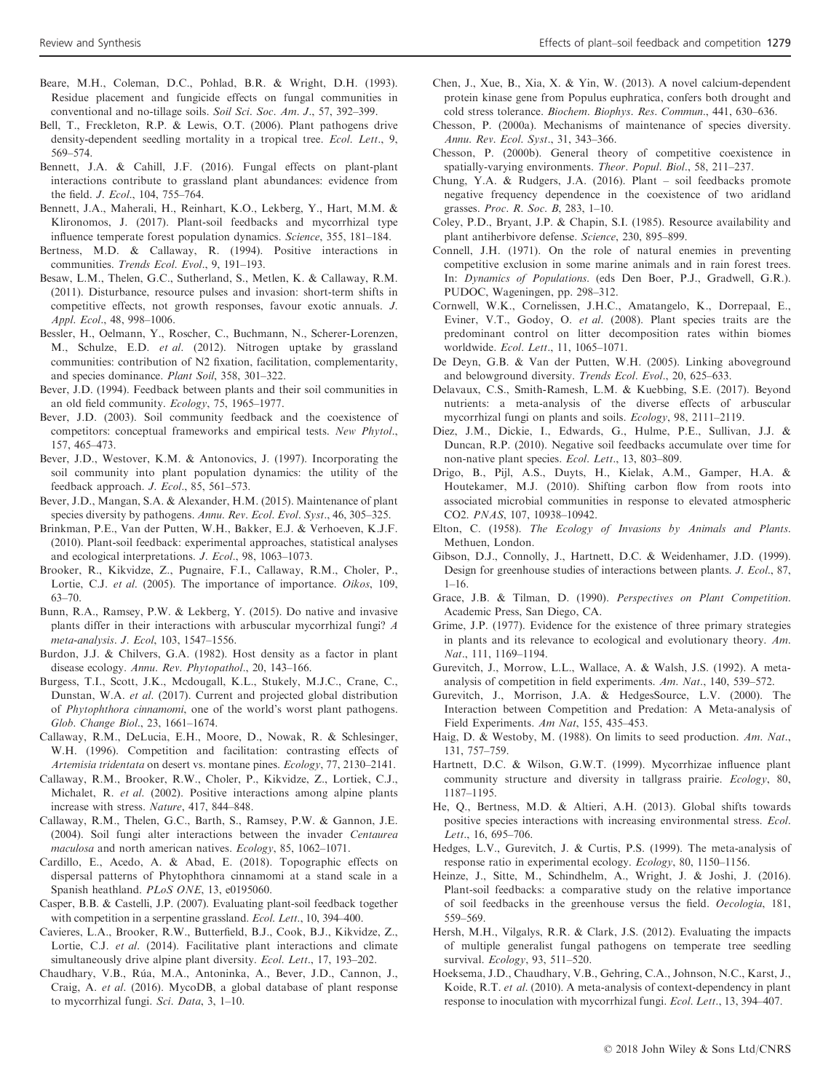- Beare, M.H., Coleman, D.C., Pohlad, B.R. & Wright, D.H. (1993). Residue placement and fungicide effects on fungal communities in conventional and no-tillage soils. Soil Sci. Soc. Am. J., 57, 392-399.
- Bell, T., Freckleton, R.P. & Lewis, O.T. (2006). Plant pathogens drive density-dependent seedling mortality in a tropical tree. Ecol. Lett., 9, 569–574.
- Bennett, J.A. & Cahill, J.F. (2016). Fungal effects on plant-plant interactions contribute to grassland plant abundances: evidence from the field. J. Ecol., 104, 755–764.
- Bennett, J.A., Maherali, H., Reinhart, K.O., Lekberg, Y., Hart, M.M. & Klironomos, J. (2017). Plant-soil feedbacks and mycorrhizal type influence temperate forest population dynamics. Science, 355, 181–184.
- Bertness, M.D. & Callaway, R. (1994). Positive interactions in communities. Trends Ecol. Evol., 9, 191–193.
- Besaw, L.M., Thelen, G.C., Sutherland, S., Metlen, K. & Callaway, R.M. (2011). Disturbance, resource pulses and invasion: short-term shifts in competitive effects, not growth responses, favour exotic annuals. J. Appl. Ecol., 48, 998–1006.
- Bessler, H., Oelmann, Y., Roscher, C., Buchmann, N., Scherer-Lorenzen, M., Schulze, E.D. et al. (2012). Nitrogen uptake by grassland communities: contribution of N2 fixation, facilitation, complementarity, and species dominance. Plant Soil, 358, 301–322.
- Bever, J.D. (1994). Feedback between plants and their soil communities in an old field community. Ecology, 75, 1965–1977.
- Bever, J.D. (2003). Soil community feedback and the coexistence of competitors: conceptual frameworks and empirical tests. New Phytol., 157, 465–473.
- Bever, J.D., Westover, K.M. & Antonovics, J. (1997). Incorporating the soil community into plant population dynamics: the utility of the feedback approach. J. Ecol., 85, 561–573.
- Bever, J.D., Mangan, S.A. & Alexander, H.M. (2015). Maintenance of plant species diversity by pathogens. Annu. Rev. Ecol. Evol. Syst., 46, 305-325.
- Brinkman, P.E., Van der Putten, W.H., Bakker, E.J. & Verhoeven, K.J.F. (2010). Plant-soil feedback: experimental approaches, statistical analyses and ecological interpretations. J. Ecol., 98, 1063–1073.
- Brooker, R., Kikvidze, Z., Pugnaire, F.I., Callaway, R.M., Choler, P., Lortie, C.J. et al. (2005). The importance of importance. Oikos, 109, 63–70.
- Bunn, R.A., Ramsey, P.W. & Lekberg, Y. (2015). Do native and invasive plants differ in their interactions with arbuscular mycorrhizal fungi? A meta-analysis. J. Ecol, 103, 1547–1556.
- Burdon, J.J. & Chilvers, G.A. (1982). Host density as a factor in plant disease ecology. Annu. Rev. Phytopathol., 20, 143–166.
- Burgess, T.I., Scott, J.K., Mcdougall, K.L., Stukely, M.J.C., Crane, C., Dunstan, W.A. et al. (2017). Current and projected global distribution of Phytophthora cinnamomi, one of the world's worst plant pathogens. Glob. Change Biol., 23, 1661–1674.
- Callaway, R.M., DeLucia, E.H., Moore, D., Nowak, R. & Schlesinger, W.H. (1996). Competition and facilitation: contrasting effects of Artemisia tridentata on desert vs. montane pines. Ecology, 77, 2130–2141.
- Callaway, R.M., Brooker, R.W., Choler, P., Kikvidze, Z., Lortiek, C.J., Michalet, R. et al. (2002). Positive interactions among alpine plants increase with stress. Nature, 417, 844–848.
- Callaway, R.M., Thelen, G.C., Barth, S., Ramsey, P.W. & Gannon, J.E. (2004). Soil fungi alter interactions between the invader Centaurea maculosa and north american natives. Ecology, 85, 1062–1071.
- Cardillo, E., Acedo, A. & Abad, E. (2018). Topographic effects on dispersal patterns of Phytophthora cinnamomi at a stand scale in a Spanish heathland. PLoS ONE, 13, e0195060.
- Casper, B.B. & Castelli, J.P. (2007). Evaluating plant-soil feedback together with competition in a serpentine grassland. Ecol. Lett., 10, 394–400.
- Cavieres, L.A., Brooker, R.W., Butterfield, B.J., Cook, B.J., Kikvidze, Z., Lortie, C.J. et al. (2014). Facilitative plant interactions and climate simultaneously drive alpine plant diversity. Ecol. Lett., 17, 193–202.
- Chaudhary, V.B., Rúa, M.A., Antoninka, A., Bever, J.D., Cannon, J., Craig, A. et al. (2016). MycoDB, a global database of plant response to mycorrhizal fungi. Sci. Data, 3, 1–10.
- Chen, J., Xue, B., Xia, X. & Yin, W. (2013). A novel calcium-dependent protein kinase gene from Populus euphratica, confers both drought and cold stress tolerance. Biochem. Biophys. Res. Commun., 441, 630–636.
- Chesson, P. (2000a). Mechanisms of maintenance of species diversity. Annu. Rev. Ecol. Syst., 31, 343–366.
- Chesson, P. (2000b). General theory of competitive coexistence in spatially-varying environments. Theor. Popul. Biol., 58, 211–237.
- Chung, Y.A. & Rudgers, J.A. (2016). Plant soil feedbacks promote negative frequency dependence in the coexistence of two aridland grasses. Proc. R. Soc. B, 283, 1–10.
- Coley, P.D., Bryant, J.P. & Chapin, S.I. (1985). Resource availability and plant antiherbivore defense. Science, 230, 895–899.
- Connell, J.H. (1971). On the role of natural enemies in preventing competitive exclusion in some marine animals and in rain forest trees. In: Dynamics of Populations. (eds Den Boer, P.J., Gradwell, G.R.). PUDOC, Wageningen, pp. 298–312.
- Cornwell, W.K., Cornelissen, J.H.C., Amatangelo, K., Dorrepaal, E., Eviner, V.T., Godoy, O. et al. (2008). Plant species traits are the predominant control on litter decomposition rates within biomes worldwide. Ecol. Lett., 11, 1065–1071.
- De Deyn, G.B. & Van der Putten, W.H. (2005). Linking aboveground and belowground diversity. Trends Ecol. Evol., 20, 625–633.
- Delavaux, C.S., Smith-Ramesh, L.M. & Kuebbing, S.E. (2017). Beyond nutrients: a meta-analysis of the diverse effects of arbuscular mycorrhizal fungi on plants and soils. Ecology, 98, 2111–2119.
- Diez, J.M., Dickie, I., Edwards, G., Hulme, P.E., Sullivan, J.J. & Duncan, R.P. (2010). Negative soil feedbacks accumulate over time for non-native plant species. Ecol. Lett., 13, 803–809.
- Drigo, B., Pijl, A.S., Duyts, H., Kielak, A.M., Gamper, H.A. & Houtekamer, M.J. (2010). Shifting carbon flow from roots into associated microbial communities in response to elevated atmospheric CO2. PNAS, 107, 10938–10942.
- Elton, C. (1958). The Ecology of Invasions by Animals and Plants. Methuen, London.
- Gibson, D.J., Connolly, J., Hartnett, D.C. & Weidenhamer, J.D. (1999). Design for greenhouse studies of interactions between plants. J. Ecol., 87,  $1 - 16$ .
- Grace, J.B. & Tilman, D. (1990). Perspectives on Plant Competition. Academic Press, San Diego, CA.
- Grime, J.P. (1977). Evidence for the existence of three primary strategies in plants and its relevance to ecological and evolutionary theory. Am. Nat., 111, 1169–1194.
- Gurevitch, J., Morrow, L.L., Wallace, A. & Walsh, J.S. (1992). A metaanalysis of competition in field experiments. Am. Nat., 140, 539–572.
- Gurevitch, J., Morrison, J.A. & HedgesSource, L.V. (2000). The Interaction between Competition and Predation: A Meta-analysis of Field Experiments. Am Nat, 155, 435–453.
- Haig, D. & Westoby, M. (1988). On limits to seed production. Am. Nat., 131, 757–759.
- Hartnett, D.C. & Wilson, G.W.T. (1999). Mycorrhizae influence plant community structure and diversity in tallgrass prairie. Ecology, 80, 1187–1195.
- He, Q., Bertness, M.D. & Altieri, A.H. (2013). Global shifts towards positive species interactions with increasing environmental stress. Ecol. Lett., 16, 695–706.
- Hedges, L.V., Gurevitch, J. & Curtis, P.S. (1999). The meta-analysis of response ratio in experimental ecology. Ecology, 80, 1150–1156.
- Heinze, J., Sitte, M., Schindhelm, A., Wright, J. & Joshi, J. (2016). Plant-soil feedbacks: a comparative study on the relative importance of soil feedbacks in the greenhouse versus the field. Oecologia, 181, 559–569.
- Hersh, M.H., Vilgalys, R.R. & Clark, J.S. (2012). Evaluating the impacts of multiple generalist fungal pathogens on temperate tree seedling survival. Ecology, 93, 511–520.
- Hoeksema, J.D., Chaudhary, V.B., Gehring, C.A., Johnson, N.C., Karst, J., Koide, R.T. et al. (2010). A meta-analysis of context-dependency in plant response to inoculation with mycorrhizal fungi. Ecol. Lett., 13, 394–407.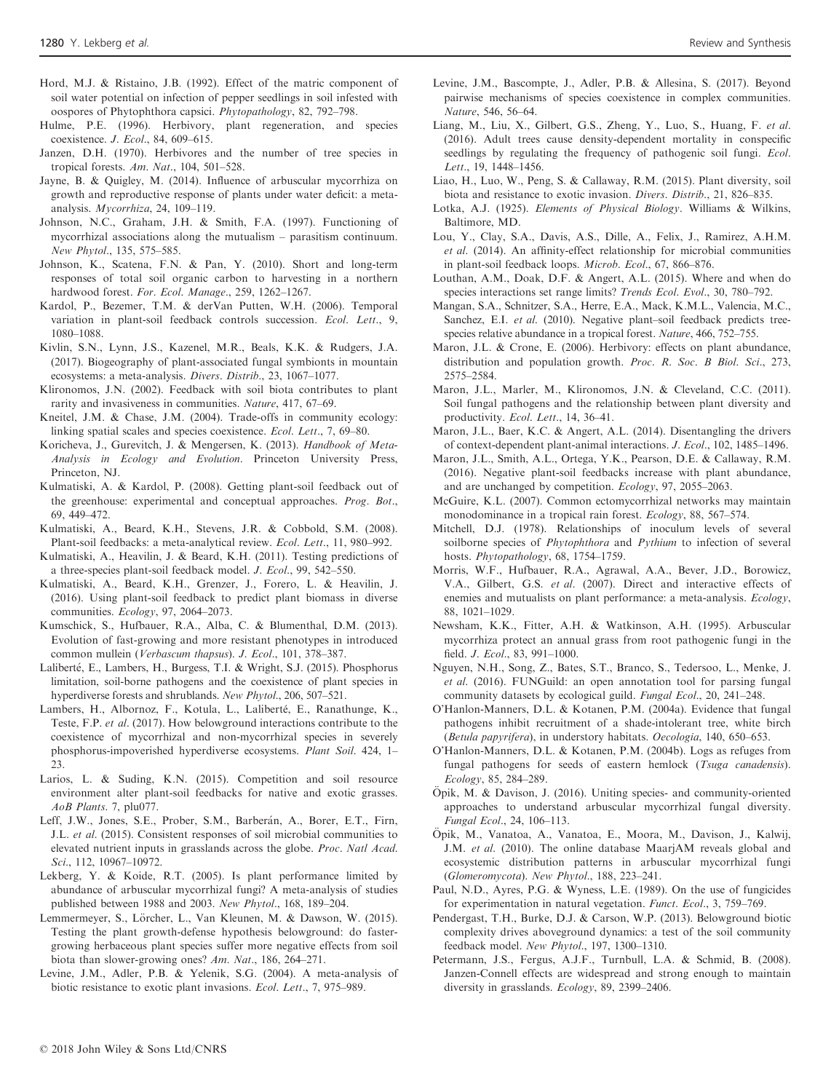- Hord, M.J. & Ristaino, J.B. (1992). Effect of the matric component of soil water potential on infection of pepper seedlings in soil infested with oospores of Phytophthora capsici. Phytopathology, 82, 792–798.
- Hulme, P.E. (1996). Herbivory, plant regeneration, and species coexistence. J. Ecol., 84, 609–615.
- Janzen, D.H. (1970). Herbivores and the number of tree species in tropical forests. Am. Nat., 104, 501–528.
- Jayne, B. & Quigley, M. (2014). Influence of arbuscular mycorrhiza on growth and reproductive response of plants under water deficit: a metaanalysis. Mycorrhiza, 24, 109–119.
- Johnson, N.C., Graham, J.H. & Smith, F.A. (1997). Functioning of mycorrhizal associations along the mutualism – parasitism continuum. New Phytol., 135, 575–585.
- Johnson, K., Scatena, F.N. & Pan, Y. (2010). Short and long-term responses of total soil organic carbon to harvesting in a northern hardwood forest. For. Ecol. Manage., 259, 1262-1267.
- Kardol, P., Bezemer, T.M. & derVan Putten, W.H. (2006). Temporal variation in plant-soil feedback controls succession. Ecol. Lett., 9, 1080–1088.
- Kivlin, S.N., Lynn, J.S., Kazenel, M.R., Beals, K.K. & Rudgers, J.A. (2017). Biogeography of plant-associated fungal symbionts in mountain ecosystems: a meta-analysis. Divers. Distrib., 23, 1067–1077.
- Klironomos, J.N. (2002). Feedback with soil biota contributes to plant rarity and invasiveness in communities. Nature, 417, 67–69.
- Kneitel, J.M. & Chase, J.M. (2004). Trade-offs in community ecology: linking spatial scales and species coexistence. Ecol. Lett., 7, 69–80.
- Koricheva, J., Gurevitch, J. & Mengersen, K. (2013). Handbook of Meta-Analysis in Ecology and Evolution. Princeton University Press, Princeton, NJ.
- Kulmatiski, A. & Kardol, P. (2008). Getting plant-soil feedback out of the greenhouse: experimental and conceptual approaches. Prog. Bot., 69, 449–472.
- Kulmatiski, A., Beard, K.H., Stevens, J.R. & Cobbold, S.M. (2008). Plant-soil feedbacks: a meta-analytical review. Ecol. Lett., 11, 980–992.
- Kulmatiski, A., Heavilin, J. & Beard, K.H. (2011). Testing predictions of a three-species plant-soil feedback model. J. Ecol., 99, 542–550.
- Kulmatiski, A., Beard, K.H., Grenzer, J., Forero, L. & Heavilin, J. (2016). Using plant-soil feedback to predict plant biomass in diverse communities. Ecology, 97, 2064–2073.
- Kumschick, S., Hufbauer, R.A., Alba, C. & Blumenthal, D.M. (2013). Evolution of fast-growing and more resistant phenotypes in introduced common mullein (Verbascum thapsus). J. Ecol., 101, 378–387.
- Laliberté, E., Lambers, H., Burgess, T.I. & Wright, S.J. (2015). Phosphorus limitation, soil-borne pathogens and the coexistence of plant species in hyperdiverse forests and shrublands. New Phytol., 206, 507–521.
- Lambers, H., Albornoz, F., Kotula, L., Laliberté, E., Ranathunge, K., Teste, F.P. et al. (2017). How belowground interactions contribute to the coexistence of mycorrhizal and non-mycorrhizal species in severely phosphorus-impoverished hyperdiverse ecosystems. Plant Soil. 424, 1– 23.
- Larios, L. & Suding, K.N. (2015). Competition and soil resource environment alter plant-soil feedbacks for native and exotic grasses. AoB Plants. 7, plu077.
- Leff, J.W., Jones, S.E., Prober, S.M., Barberán, A., Borer, E.T., Firn, J.L. et al. (2015). Consistent responses of soil microbial communities to elevated nutrient inputs in grasslands across the globe. Proc. Natl Acad. Sci., 112, 10967–10972.
- Lekberg, Y. & Koide, R.T. (2005). Is plant performance limited by abundance of arbuscular mycorrhizal fungi? A meta-analysis of studies published between 1988 and 2003. New Phytol., 168, 189–204.
- Lemmermeyer, S., Lörcher, L., Van Kleunen, M. & Dawson, W. (2015). Testing the plant growth-defense hypothesis belowground: do fastergrowing herbaceous plant species suffer more negative effects from soil biota than slower-growing ones? Am. Nat., 186, 264–271.
- Levine, J.M., Adler, P.B. & Yelenik, S.G. (2004). A meta-analysis of biotic resistance to exotic plant invasions. Ecol. Lett., 7, 975–989.
- Levine, J.M., Bascompte, J., Adler, P.B. & Allesina, S. (2017). Beyond pairwise mechanisms of species coexistence in complex communities. Nature, 546, 56–64.
- Liang, M., Liu, X., Gilbert, G.S., Zheng, Y., Luo, S., Huang, F. et al. (2016). Adult trees cause density-dependent mortality in conspecific seedlings by regulating the frequency of pathogenic soil fungi. *Ecol.* Lett., 19, 1448–1456.
- Liao, H., Luo, W., Peng, S. & Callaway, R.M. (2015). Plant diversity, soil biota and resistance to exotic invasion. Divers. Distrib., 21, 826–835.
- Lotka, A.J. (1925). Elements of Physical Biology. Williams & Wilkins, Baltimore, MD.
- Lou, Y., Clay, S.A., Davis, A.S., Dille, A., Felix, J., Ramirez, A.H.M. et al. (2014). An affinity-effect relationship for microbial communities in plant-soil feedback loops. Microb. Ecol., 67, 866–876.
- Louthan, A.M., Doak, D.F. & Angert, A.L. (2015). Where and when do species interactions set range limits? Trends Ecol. Evol., 30, 780–792.
- Mangan, S.A., Schnitzer, S.A., Herre, E.A., Mack, K.M.L., Valencia, M.C., Sanchez, E.I. et al. (2010). Negative plant–soil feedback predicts treespecies relative abundance in a tropical forest. Nature, 466, 752–755.
- Maron, J.L. & Crone, E. (2006). Herbivory: effects on plant abundance, distribution and population growth. Proc. R. Soc. B Biol. Sci., 273, 2575–2584.
- Maron, J.L., Marler, M., Klironomos, J.N. & Cleveland, C.C. (2011). Soil fungal pathogens and the relationship between plant diversity and productivity. Ecol. Lett., 14, 36–41.
- Maron, J.L., Baer, K.C. & Angert, A.L. (2014). Disentangling the drivers of context-dependent plant-animal interactions. J. Ecol., 102, 1485–1496.
- Maron, J.L., Smith, A.L., Ortega, Y.K., Pearson, D.E. & Callaway, R.M. (2016). Negative plant-soil feedbacks increase with plant abundance, and are unchanged by competition. Ecology, 97, 2055–2063.
- McGuire, K.L. (2007). Common ectomycorrhizal networks may maintain monodominance in a tropical rain forest. Ecology, 88, 567–574.
- Mitchell, D.J. (1978). Relationships of inoculum levels of several soilborne species of *Phytophthora* and *Pythium* to infection of several hosts. Phytopathology, 68, 1754–1759.
- Morris, W.F., Hufbauer, R.A., Agrawal, A.A., Bever, J.D., Borowicz, V.A., Gilbert, G.S. et al. (2007). Direct and interactive effects of enemies and mutualists on plant performance: a meta-analysis. Ecology, 88, 1021–1029.
- Newsham, K.K., Fitter, A.H. & Watkinson, A.H. (1995). Arbuscular mycorrhiza protect an annual grass from root pathogenic fungi in the field. J. Ecol., 83, 991–1000.
- Nguyen, N.H., Song, Z., Bates, S.T., Branco, S., Tedersoo, L., Menke, J. et al. (2016). FUNGuild: an open annotation tool for parsing fungal community datasets by ecological guild. Fungal Ecol., 20, 241–248.
- O'Hanlon-Manners, D.L. & Kotanen, P.M. (2004a). Evidence that fungal pathogens inhibit recruitment of a shade-intolerant tree, white birch (Betula papyrifera), in understory habitats. Oecologia, 140, 650–653.
- O'Hanlon-Manners, D.L. & Kotanen, P.M. (2004b). Logs as refuges from fungal pathogens for seeds of eastern hemlock (Tsuga canadensis). Ecology, 85, 284–289.
- Opik, M. & Davison, J. (2016). Uniting species- and community-oriented approaches to understand arbuscular mycorrhizal fungal diversity. Fungal Ecol., 24, 106–113.
- Opik, M., Vanatoa, A., Vanatoa, E., Moora, M., Davison, J., Kalwij, € J.M. et al. (2010). The online database MaarjAM reveals global and ecosystemic distribution patterns in arbuscular mycorrhizal fungi (Glomeromycota). New Phytol., 188, 223–241.
- Paul, N.D., Ayres, P.G. & Wyness, L.E. (1989). On the use of fungicides for experimentation in natural vegetation. Funct. Ecol., 3, 759–769.
- Pendergast, T.H., Burke, D.J. & Carson, W.P. (2013). Belowground biotic complexity drives aboveground dynamics: a test of the soil community feedback model. New Phytol., 197, 1300–1310.
- Petermann, J.S., Fergus, A.J.F., Turnbull, L.A. & Schmid, B. (2008). Janzen-Connell effects are widespread and strong enough to maintain diversity in grasslands. Ecology, 89, 2399–2406.